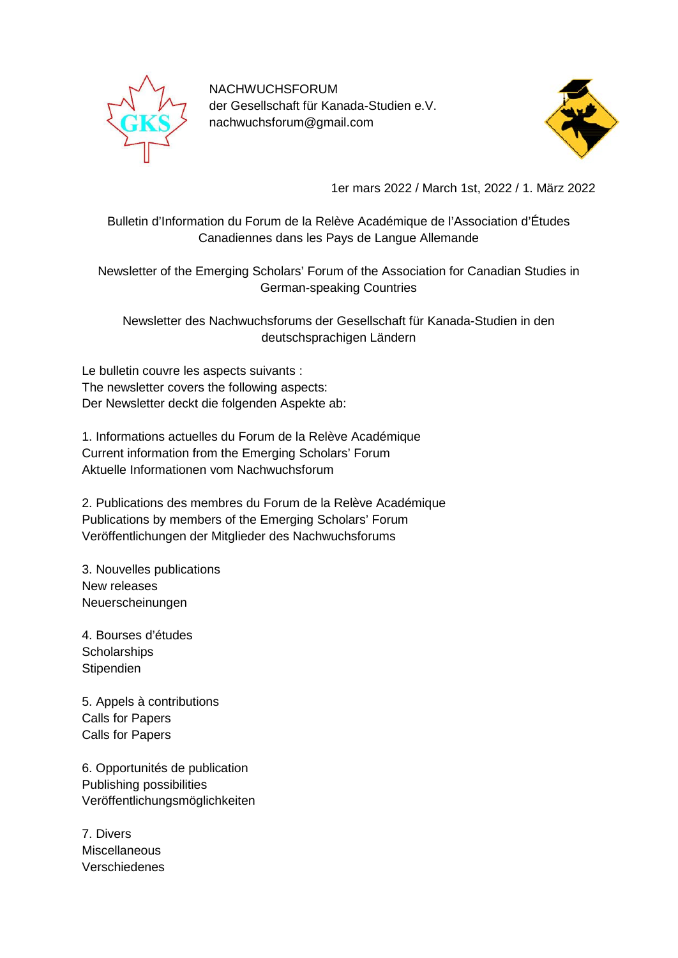

NACHWUCHSFORUM der Gesellschaft für Kanada-Studien e.V. nachwuchsforum@gmail.com



1er mars 2022 / March 1st, 2022 / 1. März 2022

Bulletin d'Information du Forum de la Relève Académique de l'Association d'Études Canadiennes dans les Pays de Langue Allemande

Newsletter of the Emerging Scholars' Forum of the Association for Canadian Studies in German-speaking Countries

Newsletter des Nachwuchsforums der Gesellschaft für Kanada-Studien in den deutschsprachigen Ländern

Le bulletin couvre les aspects suivants : The newsletter covers the following aspects: Der Newsletter deckt die folgenden Aspekte ab:

1. Informations actuelles du Forum de la Relève Académique Current information from the Emerging Scholars' Forum Aktuelle Informationen vom Nachwuchsforum

2. Publications des membres du Forum de la Relève Académique Publications by members of the Emerging Scholars' Forum Veröffentlichungen der Mitglieder des Nachwuchsforums

3. Nouvelles publications New releases Neuerscheinungen

4. Bourses d'études **Scholarships Stipendien** 

5. Appels à contributions Calls for Papers Calls for Papers

6. Opportunités de publication Publishing possibilities Veröffentlichungsmöglichkeiten

7. Divers **Miscellaneous** Verschiedenes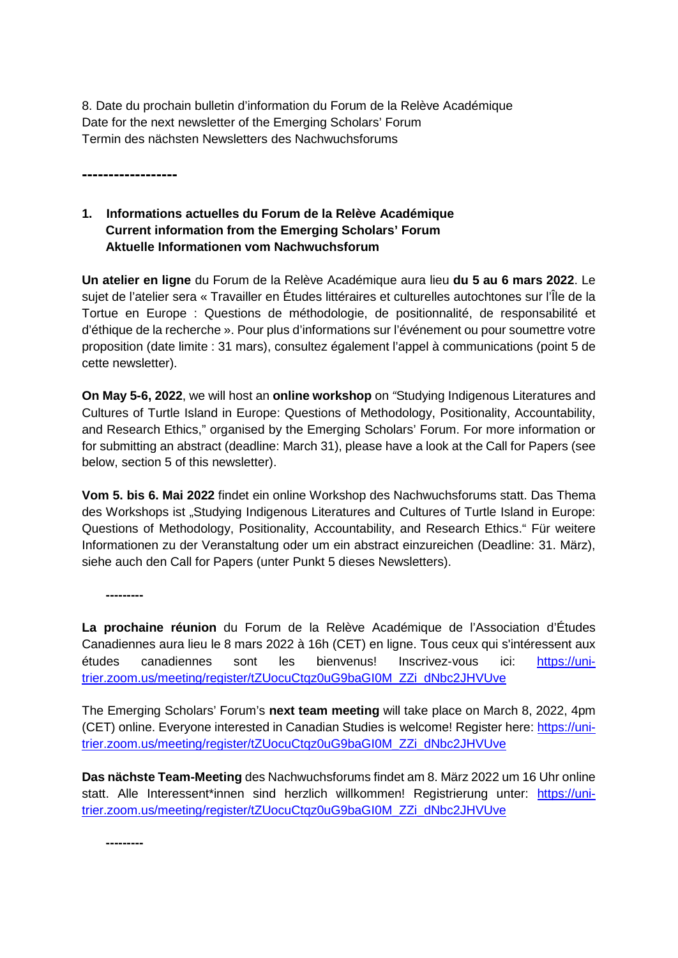8. Date du prochain bulletin d'information du Forum de la Relève Académique Date for the next newsletter of the Emerging Scholars' Forum Termin des nächsten Newsletters des Nachwuchsforums

**------------------**

# **1. Informations actuelles du Forum de la Relève Académique Current information from the Emerging Scholars' Forum Aktuelle Informationen vom Nachwuchsforum**

**Un atelier en ligne** du Forum de la Relève Académique aura lieu **du 5 au 6 mars 2022**. Le sujet de l'atelier sera « Travailler en Études littéraires et culturelles autochtones sur l'Île de la Tortue en Europe : Questions de méthodologie, de positionnalité, de responsabilité et d'éthique de la recherche ». Pour plus d'informations sur l'événement ou pour soumettre votre proposition (date limite : 31 mars), consultez également l'appel à communications (point 5 de cette newsletter).

**On May 5-6, 2022**, we will host an **online workshop** on *"*Studying Indigenous Literatures and Cultures of Turtle Island in Europe: Questions of Methodology, Positionality, Accountability, and Research Ethics," organised by the Emerging Scholars' Forum. For more information or for submitting an abstract (deadline: March 31), please have a look at the Call for Papers (see below, section 5 of this newsletter).

**Vom 5. bis 6. Mai 2022** findet ein online Workshop des Nachwuchsforums statt. Das Thema des Workshops ist "Studying Indigenous Literatures and Cultures of Turtle Island in Europe: Questions of Methodology, Positionality, Accountability, and Research Ethics." Für weitere Informationen zu der Veranstaltung oder um ein abstract einzureichen (Deadline: 31. März), siehe auch den Call for Papers (unter Punkt 5 dieses Newsletters).

**---------**

**La prochaine réunion** du Forum de la Relève Académique de l'Association d'Études Canadiennes aura lieu le 8 mars 2022 à 16h (CET) en ligne. Tous ceux qui s'intéressent aux études canadiennes sont les bienvenus! Inscrivez-vous ici: [https://uni](https://uni-trier.zoom.us/meeting/register/tZUocuCtqz0uG9baGI0M_ZZi_dNbc2JHVUve)[trier.zoom.us/meeting/register/tZUocuCtqz0uG9baGI0M\\_ZZi\\_dNbc2JHVUve](https://uni-trier.zoom.us/meeting/register/tZUocuCtqz0uG9baGI0M_ZZi_dNbc2JHVUve)

The Emerging Scholars' Forum's **next team meeting** will take place on March 8, 2022, 4pm (CET) online. Everyone interested in Canadian Studies is welcome! Register here: [https://uni](https://uni-trier.zoom.us/meeting/register/tZUocuCtqz0uG9baGI0M_ZZi_dNbc2JHVUve)[trier.zoom.us/meeting/register/tZUocuCtqz0uG9baGI0M\\_ZZi\\_dNbc2JHVUve](https://uni-trier.zoom.us/meeting/register/tZUocuCtqz0uG9baGI0M_ZZi_dNbc2JHVUve)

**Das nächste Team-Meeting** des Nachwuchsforums findet am 8. März 2022 um 16 Uhr online statt. Alle Interessent\*innen sind herzlich willkommen! Registrierung unter: [https://uni](https://uni-trier.zoom.us/meeting/register/tZUocuCtqz0uG9baGI0M_ZZi_dNbc2JHVUve)[trier.zoom.us/meeting/register/tZUocuCtqz0uG9baGI0M\\_ZZi\\_dNbc2JHVUve](https://uni-trier.zoom.us/meeting/register/tZUocuCtqz0uG9baGI0M_ZZi_dNbc2JHVUve)

**---------**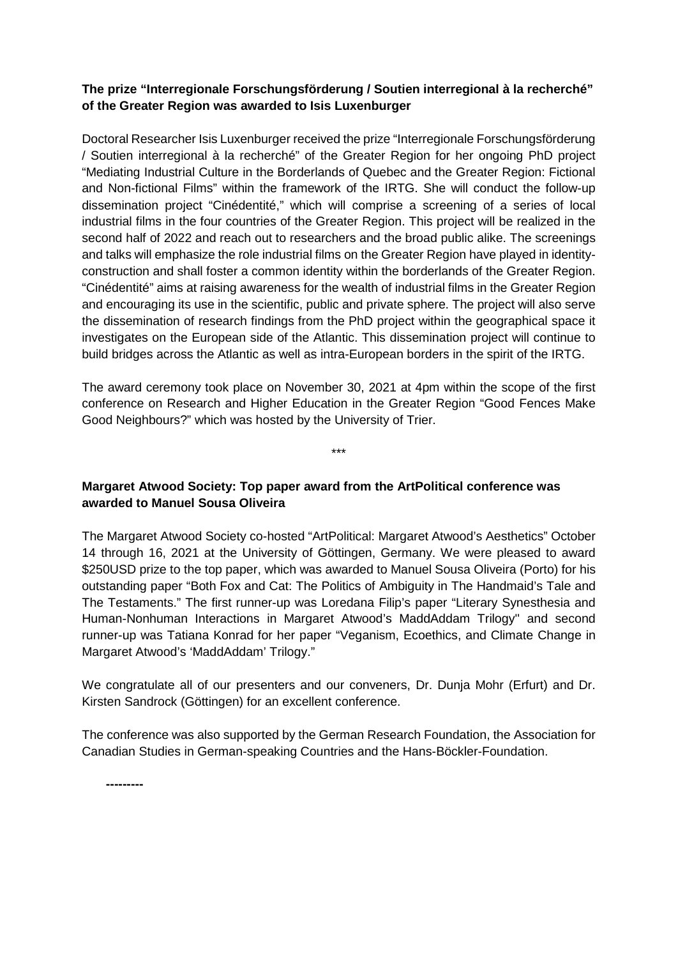## **The prize "Interregionale Forschungsförderung / Soutien interregional à la recherché" of the Greater Region was awarded to Isis Luxenburger**

Doctoral Researcher Isis Luxenburger received the prize "Interregionale Forschungsförderung / Soutien interregional à la recherché" of the Greater Region for her ongoing PhD project "Mediating Industrial Culture in the Borderlands of Quebec and the Greater Region: Fictional and Non-fictional Films" within the framework of the IRTG. She will conduct the follow-up dissemination project "Cinédentité," which will comprise a screening of a series of local industrial films in the four countries of the Greater Region. This project will be realized in the second half of 2022 and reach out to researchers and the broad public alike. The screenings and talks will emphasize the role industrial films on the Greater Region have played in identityconstruction and shall foster a common identity within the borderlands of the Greater Region. "Cinédentité" aims at raising awareness for the wealth of industrial films in the Greater Region and encouraging its use in the scientific, public and private sphere. The project will also serve the dissemination of research findings from the PhD project within the geographical space it investigates on the European side of the Atlantic. This dissemination project will continue to build bridges across the Atlantic as well as intra-European borders in the spirit of the IRTG.

The award ceremony took place on November 30, 2021 at 4pm within the scope of the first conference on Research and Higher Education in the Greater Region "Good Fences Make Good Neighbours?" which was hosted by the University of Trier.

\*\*\*

# **Margaret Atwood Society: Top paper award from the ArtPolitical conference was awarded to Manuel Sousa Oliveira**

The Margaret Atwood Society co-hosted "ArtPolitical: Margaret Atwood's Aesthetics" October 14 through 16, 2021 at the University of Göttingen, Germany. We were pleased to award \$250USD prize to the top paper, which was awarded to Manuel Sousa Oliveira (Porto) for his outstanding paper "Both Fox and Cat: The Politics of Ambiguity in The Handmaid's Tale and The Testaments." The first runner-up was Loredana Filip's paper "Literary Synesthesia and Human-Nonhuman Interactions in Margaret Atwood's MaddAddam Trilogy'' and second runner-up was Tatiana Konrad for her paper "Veganism, Ecoethics, and Climate Change in Margaret Atwood's 'MaddAddam' Trilogy."

We congratulate all of our presenters and our conveners, Dr. Dunja Mohr (Erfurt) and Dr. Kirsten Sandrock (Göttingen) for an excellent conference.

The conference was also supported by the German Research Foundation, the Association for Canadian Studies in German-speaking Countries and the Hans-Böckler-Foundation.

**---------**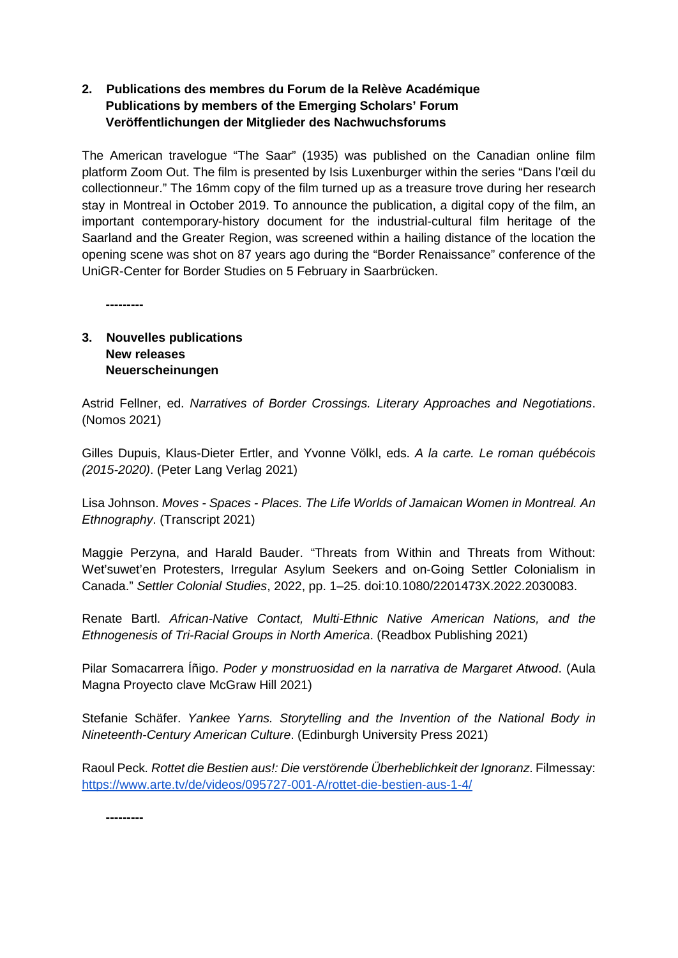# **2. Publications des membres du Forum de la Relève Académique Publications by members of the Emerging Scholars' Forum Veröffentlichungen der Mitglieder des Nachwuchsforums**

The American travelogue "The Saar" (1935) was published on the Canadian online film platform Zoom Out. The film is presented by Isis Luxenburger within the series "Dans l'œil du collectionneur." The 16mm copy of the film turned up as a treasure trove during her research stay in Montreal in October 2019. To announce the publication, a digital copy of the film, an important contemporary-history document for the industrial-cultural film heritage of the Saarland and the Greater Region, was screened within a hailing distance of the location the opening scene was shot on 87 years ago during the "Border Renaissance" conference of the UniGR-Center for Border Studies on 5 February in Saarbrücken.

**---------**

# **3. Nouvelles publications New releases Neuerscheinungen**

Astrid Fellner, ed. *Narratives of Border Crossings. Literary Approaches and Negotiations*. (Nomos 2021)

Gilles Dupuis, Klaus-Dieter Ertler, and Yvonne Völkl, eds. *A la carte. Le roman québécois (2015-2020)*. (Peter Lang Verlag 2021)

Lisa Johnson. *Moves - Spaces - Places. The Life Worlds of Jamaican Women in Montreal. An Ethnography*. (Transcript 2021)

Maggie Perzyna, and Harald Bauder. "Threats from Within and Threats from Without: Wet'suwet'en Protesters, Irregular Asylum Seekers and on-Going Settler Colonialism in Canada." *Settler Colonial Studies*, 2022, pp. 1–25. doi:10.1080/2201473X.2022.2030083.

Renate Bartl. *African-Native Contact, Multi-Ethnic Native American Nations, and the Ethnogenesis of Tri-Racial Groups in North America*. (Readbox Publishing 2021)

Pilar Somacarrera Íñigo. *Poder y monstruosidad en la narrativa de Margaret Atwood*. (Aula Magna Proyecto clave McGraw Hill 2021)

Stefanie Schäfer. *Yankee Yarns. Storytelling and the Invention of the National Body in Nineteenth-Century American Culture*. (Edinburgh University Press 2021)

Raoul Peck*. Rottet die Bestien aus!: Die verstörende Überheblichkeit der Ignoranz*. Filmessay: <https://www.arte.tv/de/videos/095727-001-A/rottet-die-bestien-aus-1-4/>

**---------**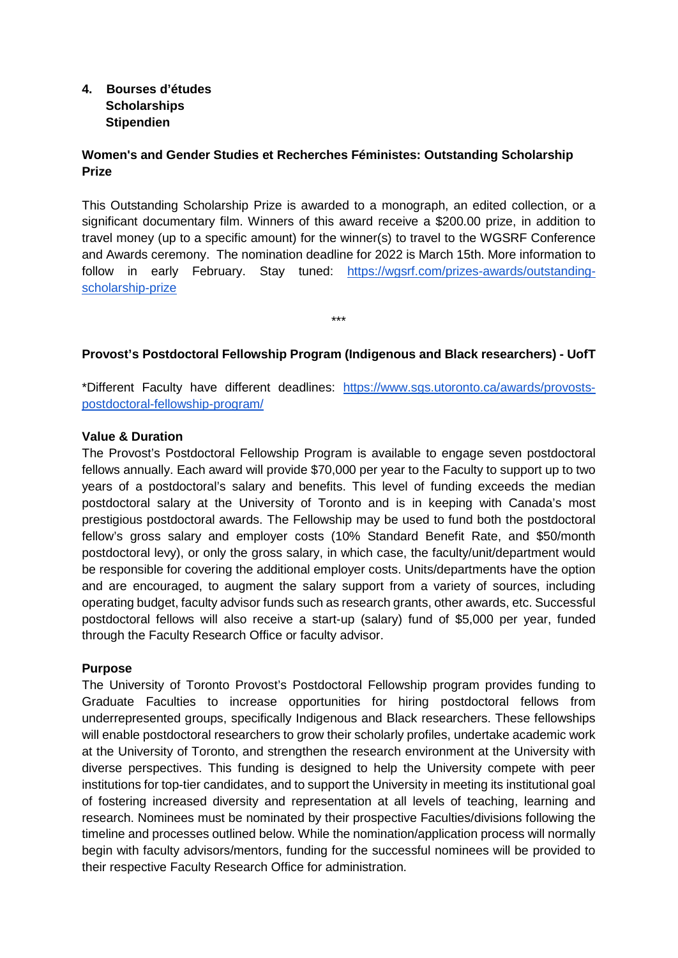## **4. Bourses d'études Scholarships Stipendien**

# **Women's and Gender Studies et Recherches Féministes: Outstanding Scholarship Prize**

This Outstanding Scholarship Prize is awarded to a monograph, an edited collection, or a significant documentary film. Winners of this award receive a \$200.00 prize, in addition to travel money (up to a specific amount) for the winner(s) to travel to the WGSRF Conference and Awards ceremony. The nomination deadline for 2022 is March 15th. More information to follow in early February. Stay tuned: [https://wgsrf.com/prizes-awards/outstanding](https://wgsrf.com/prizes-awards/outstanding-scholarship-prize)[scholarship-prize](https://wgsrf.com/prizes-awards/outstanding-scholarship-prize)

## **Provost's Postdoctoral Fellowship Program (Indigenous and Black researchers) - UofT**

\*\*\*

\*Different Faculty have different deadlines: [https://www.sgs.utoronto.ca/awards/provosts](https://www.sgs.utoronto.ca/awards/provosts-postdoctoral-fellowship-program/)[postdoctoral-fellowship-program/](https://www.sgs.utoronto.ca/awards/provosts-postdoctoral-fellowship-program/)

#### **Value & Duration**

The Provost's Postdoctoral Fellowship Program is available to engage seven postdoctoral fellows annually. Each award will provide \$70,000 per year to the Faculty to support up to two years of a postdoctoral's salary and benefits. This level of funding exceeds the median postdoctoral salary at the University of Toronto and is in keeping with Canada's most prestigious postdoctoral awards. The Fellowship may be used to fund both the postdoctoral fellow's gross salary and employer costs (10% Standard Benefit Rate, and \$50/month postdoctoral levy), or only the gross salary, in which case, the faculty/unit/department would be responsible for covering the additional employer costs. Units/departments have the option and are encouraged, to augment the salary support from a variety of sources, including operating budget, faculty advisor funds such as research grants, other awards, etc. Successful postdoctoral fellows will also receive a start-up (salary) fund of \$5,000 per year, funded through the Faculty Research Office or faculty advisor.

#### **Purpose**

The University of Toronto Provost's Postdoctoral Fellowship program provides funding to Graduate Faculties to increase opportunities for hiring postdoctoral fellows from underrepresented groups, specifically Indigenous and Black researchers. These fellowships will enable postdoctoral researchers to grow their scholarly profiles, undertake academic work at the University of Toronto, and strengthen the research environment at the University with diverse perspectives. This funding is designed to help the University compete with peer institutions for top-tier candidates, and to support the University in meeting its institutional goal of fostering increased diversity and representation at all levels of teaching, learning and research. Nominees must be nominated by their prospective Faculties/divisions following the timeline and processes outlined below. While the nomination/application process will normally begin with faculty advisors/mentors, funding for the successful nominees will be provided to their respective Faculty Research Office for administration.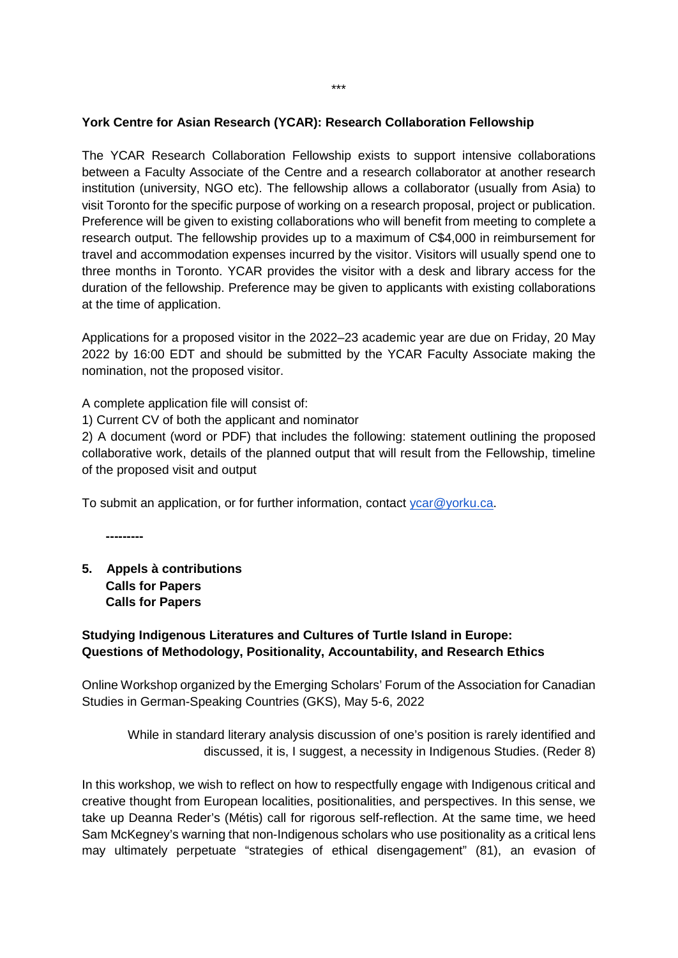#### **York Centre for Asian Research (YCAR): Research Collaboration Fellowship**

The YCAR Research Collaboration Fellowship exists to support intensive collaborations between a Faculty Associate of the Centre and a research collaborator at another research institution (university, NGO etc). The fellowship allows a collaborator (usually from Asia) to visit Toronto for the specific purpose of working on a research proposal, project or publication. Preference will be given to existing collaborations who will benefit from meeting to complete a research output. The fellowship provides up to a maximum of C\$4,000 in reimbursement for travel and accommodation expenses incurred by the visitor. Visitors will usually spend one to three months in Toronto. YCAR provides the visitor with a desk and library access for the duration of the fellowship. Preference may be given to applicants with existing collaborations at the time of application.

Applications for a proposed visitor in the 2022–23 academic year are due on Friday, 20 May 2022 by 16:00 EDT and should be submitted by the YCAR Faculty Associate making the nomination, not the proposed visitor.

A complete application file will consist of:

1) Current CV of both the applicant and nominator

2) A document (word or PDF) that includes the following: statement outlining the proposed collaborative work, details of the planned output that will result from the Fellowship, timeline of the proposed visit and output

To submit an application, or for further information, contact [ycar@yorku.ca.](mailto:ycar@yorku.ca)

**---------**

**5. Appels à contributions Calls for Papers Calls for Papers**

## **Studying Indigenous Literatures and Cultures of Turtle Island in Europe: Questions of Methodology, Positionality, Accountability, and Research Ethics**

Online Workshop organized by the Emerging Scholars' Forum of the Association for Canadian Studies in German-Speaking Countries (GKS), May 5-6, 2022

While in standard literary analysis discussion of one's position is rarely identified and discussed, it is, I suggest, a necessity in Indigenous Studies. (Reder 8)

In this workshop, we wish to reflect on how to respectfully engage with Indigenous critical and creative thought from European localities, positionalities, and perspectives. In this sense, we take up Deanna Reder's (Métis) call for rigorous self-reflection. At the same time, we heed Sam McKegney's warning that non-Indigenous scholars who use positionality as a critical lens may ultimately perpetuate "strategies of ethical disengagement" (81), an evasion of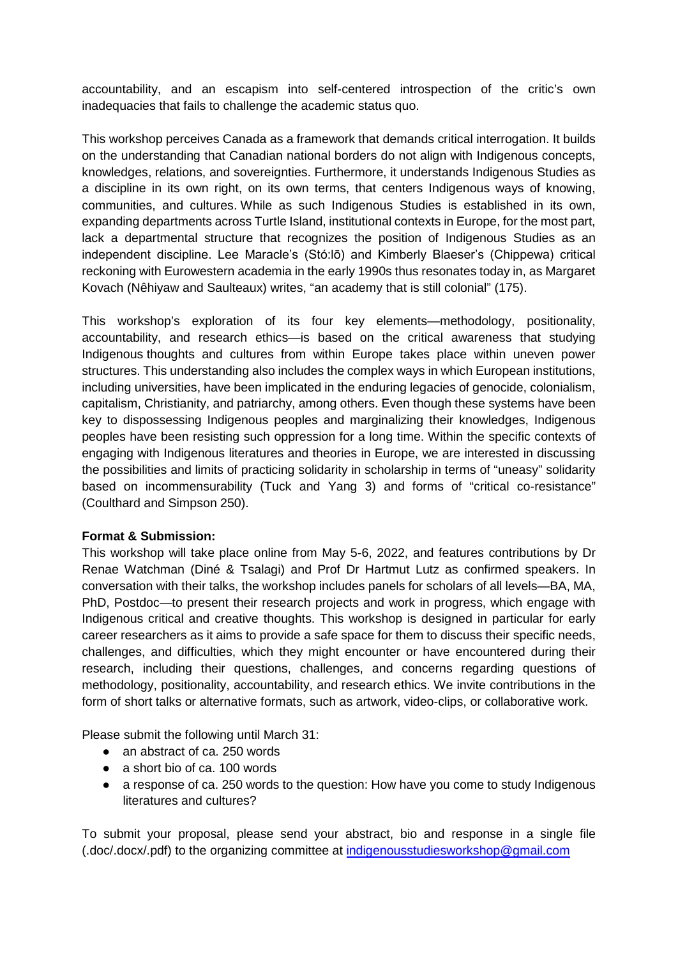accountability, and an escapism into self-centered introspection of the critic's own inadequacies that fails to challenge the academic status quo.

This workshop perceives Canada as a framework that demands critical interrogation. It builds on the understanding that Canadian national borders do not align with Indigenous concepts, knowledges, relations, and sovereignties. Furthermore, it understands Indigenous Studies as a discipline in its own right, on its own terms, that centers Indigenous ways of knowing, communities, and cultures. While as such Indigenous Studies is established in its own, expanding departments across Turtle Island, institutional contexts in Europe, for the most part, lack a departmental structure that recognizes the position of Indigenous Studies as an independent discipline. Lee Maracle's (Stó:lō) and Kimberly Blaeser's (Chippewa) critical reckoning with Eurowestern academia in the early 1990s thus resonates today in, as Margaret Kovach (Nêhiyaw and Saulteaux) writes, "an academy that is still colonial" (175).

This workshop's exploration of its four key elements—methodology, positionality, accountability, and research ethics—is based on the critical awareness that studying Indigenous thoughts and cultures from within Europe takes place within uneven power structures. This understanding also includes the complex ways in which European institutions, including universities, have been implicated in the enduring legacies of genocide, colonialism, capitalism, Christianity, and patriarchy, among others. Even though these systems have been key to dispossessing Indigenous peoples and marginalizing their knowledges, Indigenous peoples have been resisting such oppression for a long time. Within the specific contexts of engaging with Indigenous literatures and theories in Europe, we are interested in discussing the possibilities and limits of practicing solidarity in scholarship in terms of "uneasy" solidarity based on incommensurability (Tuck and Yang 3) and forms of "critical co-resistance" (Coulthard and Simpson 250).

#### **Format & Submission:**

This workshop will take place online from May 5-6, 2022, and features contributions by Dr Renae Watchman (Diné & Tsalagi) and Prof Dr Hartmut Lutz as confirmed speakers. In conversation with their talks, the workshop includes panels for scholars of all levels—BA, MA, PhD, Postdoc—to present their research projects and work in progress, which engage with Indigenous critical and creative thoughts. This workshop is designed in particular for early career researchers as it aims to provide a safe space for them to discuss their specific needs, challenges, and difficulties, which they might encounter or have encountered during their research, including their questions, challenges, and concerns regarding questions of methodology, positionality, accountability, and research ethics. We invite contributions in the form of short talks or alternative formats, such as artwork, video-clips, or collaborative work.

Please submit the following until March 31:

- an abstract of ca. 250 words
- $\bullet$  a short bio of ca. 100 words
- a response of ca. 250 words to the question: How have you come to study Indigenous literatures and cultures?

To submit your proposal, please send your abstract, bio and response in a single file (.doc/.docx/.pdf) to the organizing committee at [indigenousstudiesworkshop@gmail.com](mailto:indigenousstudiesworkshop@gmail.com)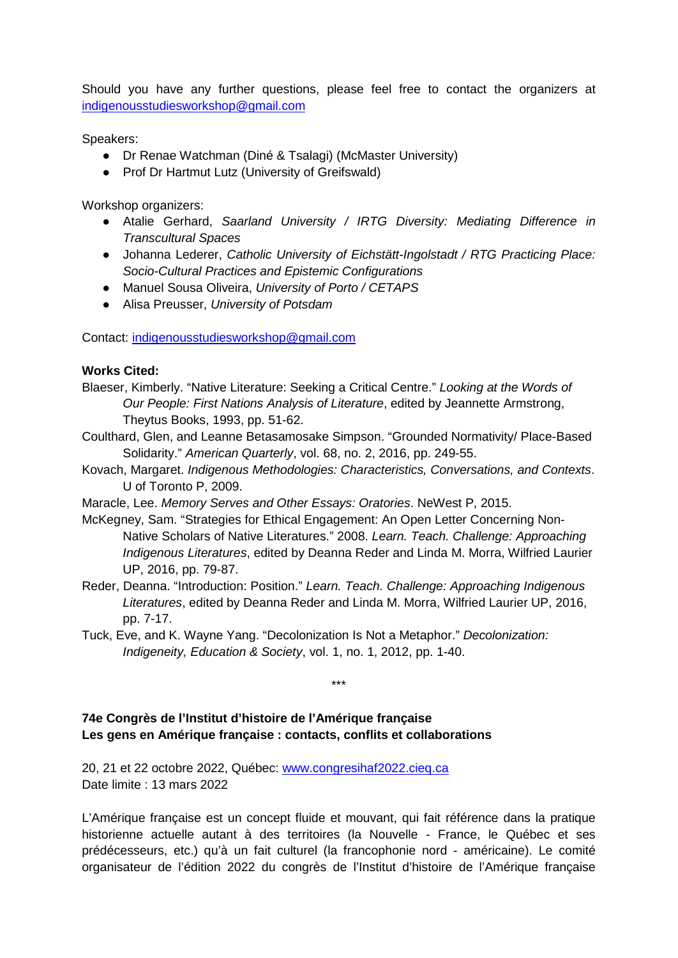Should you have any further questions, please feel free to contact the organizers at [indigenousstudiesworkshop@gmail.com](mailto:indigenousstudiesworkshop@gmail.com)

Speakers:

- Dr Renae Watchman (Diné & Tsalagi) (McMaster University)
- Prof Dr Hartmut Lutz (University of Greifswald)

Workshop organizers:

- Atalie Gerhard, *Saarland University / IRTG Diversity: Mediating Difference in Transcultural Spaces*
- Johanna Lederer, *Catholic University of Eichstätt-Ingolstadt / RTG Practicing Place: Socio-Cultural Practices and Epistemic Configurations*
- Manuel Sousa Oliveira, *University of Porto / CETAPS*
- Alisa Preusser, *University of Potsdam*

Contact: [indigenousstudiesworkshop@gmail.com](mailto:indigenousstudiesworkshop@gmail.com)

## **Works Cited:**

- Blaeser, Kimberly. "Native Literature: Seeking a Critical Centre." *Looking at the Words of Our People: First Nations Analysis of Literature*, edited by Jeannette Armstrong, Theytus Books, 1993, pp. 51-62.
- Coulthard, Glen, and Leanne Betasamosake Simpson. "Grounded Normativity/ Place-Based Solidarity." *American Quarterly*, vol. 68, no. 2, 2016, pp. 249-55.
- Kovach, Margaret. *Indigenous Methodologies: Characteristics, Conversations, and Contexts*. U of Toronto P, 2009.
- Maracle, Lee. *Memory Serves and Other Essays: Oratories*. NeWest P, 2015.
- McKegney, Sam. "Strategies for Ethical Engagement: An Open Letter Concerning Non-Native Scholars of Native Literatures." 2008. *Learn. Teach. Challenge: Approaching Indigenous Literatures*, edited by Deanna Reder and Linda M. Morra, Wilfried Laurier UP, 2016, pp. 79-87.
- Reder, Deanna. "Introduction: Position." *Learn. Teach. Challenge: Approaching Indigenous Literatures*, edited by Deanna Reder and Linda M. Morra, Wilfried Laurier UP, 2016, pp. 7-17.

\*\*\*

Tuck, Eve, and K. Wayne Yang. "Decolonization Is Not a Metaphor." *Decolonization: Indigeneity, Education & Society*, vol. 1, no. 1, 2012, pp. 1-40.

**74e Congrès de l'Institut d'histoire de l'Amérique française Les gens en Amérique française : contacts, conflits et collaborations**

20, 21 et 22 octobre 2022, Québec: [www.congresihaf2022.cieq.ca](http://www.congresihaf2022.cieq.ca/) Date limite : 13 mars 2022

L'Amérique française est un concept fluide et mouvant, qui fait référence dans la pratique historienne actuelle autant à des territoires (la Nouvelle - France, le Québec et ses prédécesseurs, etc.) qu'à un fait culturel (la francophonie nord - américaine). Le comité organisateur de l'édition 2022 du congrès de l'Institut d'histoire de l'Amérique française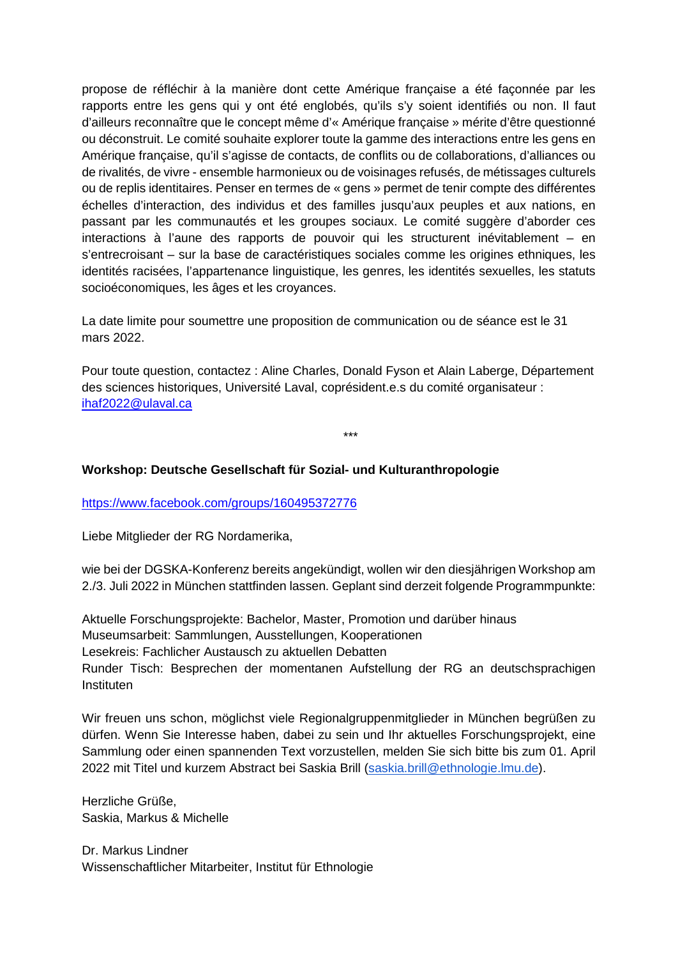propose de réfléchir à la manière dont cette Amérique française a été façonnée par les rapports entre les gens qui y ont été englobés, qu'ils s'y soient identifiés ou non. Il faut d'ailleurs reconnaître que le concept même d'« Amérique française » mérite d'être questionné ou déconstruit. Le comité souhaite explorer toute la gamme des interactions entre les gens en Amérique française, qu'il s'agisse de contacts, de conflits ou de collaborations, d'alliances ou de rivalités, de vivre - ensemble harmonieux ou de voisinages refusés, de métissages culturels ou de replis identitaires. Penser en termes de « gens » permet de tenir compte des différentes échelles d'interaction, des individus et des familles jusqu'aux peuples et aux nations, en passant par les communautés et les groupes sociaux. Le comité suggère d'aborder ces interactions à l'aune des rapports de pouvoir qui les structurent inévitablement – en s'entrecroisant – sur la base de caractéristiques sociales comme les origines ethniques, les identités racisées, l'appartenance linguistique, les genres, les identités sexuelles, les statuts socioéconomiques, les âges et les croyances.

La date limite pour soumettre une proposition de communication ou de séance est le 31 mars 2022.

Pour toute question, contactez : Aline Charles, Donald Fyson et Alain Laberge, Département des sciences historiques, Université Laval, coprésident.e.s du comité organisateur : [ihaf2022@ulaval.ca](mailto:ihaf2022@ulaval.ca)

\*\*\*

#### **Workshop: Deutsche Gesellschaft für Sozial- und Kulturanthropologie**

<https://www.facebook.com/groups/160495372776>

Liebe Mitglieder der RG Nordamerika,

wie bei der DGSKA-Konferenz bereits angekündigt, wollen wir den diesjährigen Workshop am 2./3. Juli 2022 in München stattfinden lassen. Geplant sind derzeit folgende Programmpunkte:

Aktuelle Forschungsprojekte: Bachelor, Master, Promotion und darüber hinaus Museumsarbeit: Sammlungen, Ausstellungen, Kooperationen Lesekreis: Fachlicher Austausch zu aktuellen Debatten Runder Tisch: Besprechen der momentanen Aufstellung der RG an deutschsprachigen Instituten

Wir freuen uns schon, möglichst viele Regionalgruppenmitglieder in München begrüßen zu dürfen. Wenn Sie Interesse haben, dabei zu sein und Ihr aktuelles Forschungsprojekt, eine Sammlung oder einen spannenden Text vorzustellen, melden Sie sich bitte bis zum 01. April 2022 mit Titel und kurzem Abstract bei Saskia Brill [\(saskia.brill@ethnologie.lmu.de\)](mailto:saskia.brill@ethnologie.lmu.de).

Herzliche Grüße, Saskia, Markus & Michelle

Dr. Markus Lindner Wissenschaftlicher Mitarbeiter, Institut für Ethnologie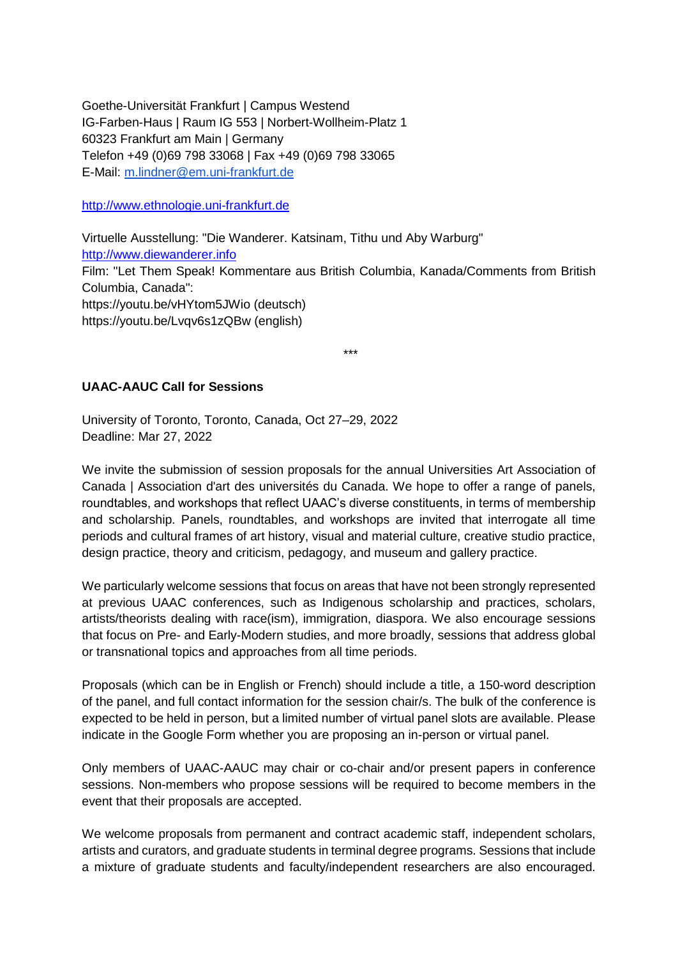Goethe-Universität Frankfurt | Campus Westend IG-Farben-Haus | Raum IG 553 | Norbert-Wollheim-Platz 1 60323 Frankfurt am Main | Germany Telefon +49 (0)69 798 33068 | Fax +49 (0)69 798 33065 E-Mail: [m.lindner@em.uni-frankfurt.de](mailto:m.lindner@em.uni-frankfurt.de)

[http://www.ethnologie.uni-frankfurt.de](http://www.ethnologie.uni-frankfurt.de/)

Virtuelle Ausstellung: "Die Wanderer. Katsinam, Tithu und Aby Warburg" [http://www.diewanderer.info](http://www.diewanderer.info/) Film: "Let Them Speak! Kommentare aus British Columbia, Kanada/Comments from British Columbia, Canada": https://youtu.be/vHYtom5JWio (deutsch) https://youtu.be/Lvqv6s1zQBw (english)

\*\*\*

## **UAAC-AAUC Call for Sessions**

University of Toronto, Toronto, Canada, Oct 27–29, 2022 Deadline: Mar 27, 2022

We invite the submission of session proposals for the annual Universities Art Association of Canada | Association d'art des universités du Canada. We hope to offer a range of panels, roundtables, and workshops that reflect UAAC's diverse constituents, in terms of membership and scholarship. Panels, roundtables, and workshops are invited that interrogate all time periods and cultural frames of art history, visual and material culture, creative studio practice, design practice, theory and criticism, pedagogy, and museum and gallery practice.

We particularly welcome sessions that focus on areas that have not been strongly represented at previous UAAC conferences, such as Indigenous scholarship and practices, scholars, artists/theorists dealing with race(ism), immigration, diaspora. We also encourage sessions that focus on Pre- and Early-Modern studies, and more broadly, sessions that address global or transnational topics and approaches from all time periods.

Proposals (which can be in English or French) should include a title, a 150-word description of the panel, and full contact information for the session chair/s. The bulk of the conference is expected to be held in person, but a limited number of virtual panel slots are available. Please indicate in the Google Form whether you are proposing an in-person or virtual panel.

Only members of UAAC-AAUC may chair or co-chair and/or present papers in conference sessions. Non-members who propose sessions will be required to become members in the event that their proposals are accepted.

We welcome proposals from permanent and contract academic staff, independent scholars, artists and curators, and graduate students in terminal degree programs. Sessions that include a mixture of graduate students and faculty/independent researchers are also encouraged.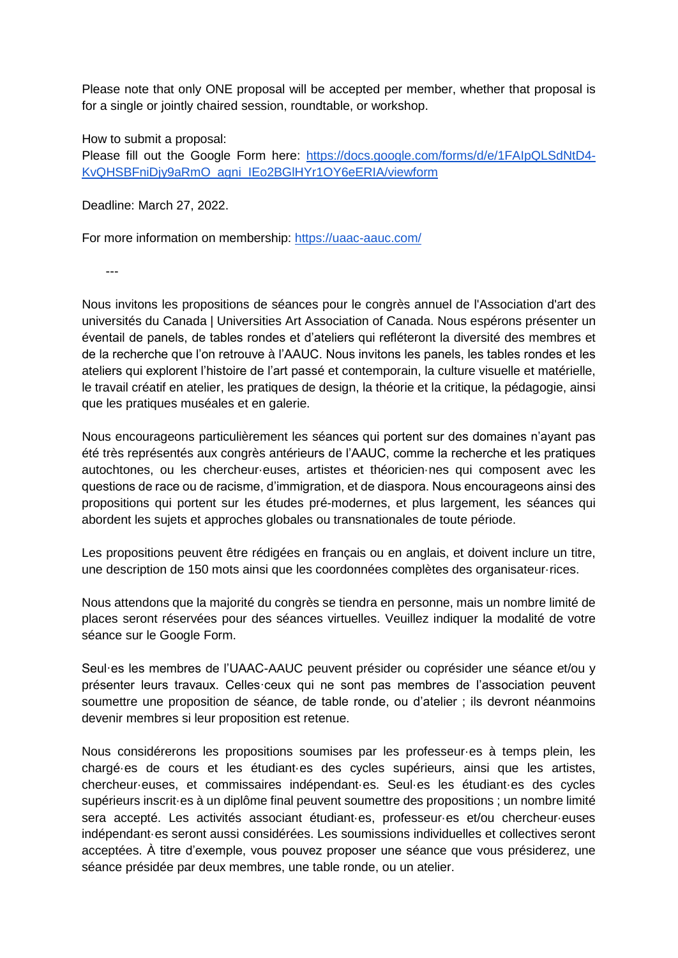Please note that only ONE proposal will be accepted per member, whether that proposal is for a single or jointly chaired session, roundtable, or workshop.

How to submit a proposal: Please fill out the Google Form here: [https://docs.google.com/forms/d/e/1FAIpQLSdNtD4-](https://docs.google.com/forms/d/e/1FAIpQLSdNtD4-KvQHSBFniDjy9aRmO_agni_IEo2BGlHYr1OY6eERIA/viewform) KvQHSBFniDiv9aRmO\_agni\_IEo2BGlHYr1OY6eERIA/viewform

Deadline: March 27, 2022.

For more information on membership:<https://uaac-aauc.com/>

---

Nous invitons les propositions de séances pour le congrès annuel de l'Association d'art des universités du Canada | Universities Art Association of Canada. Nous espérons présenter un éventail de panels, de tables rondes et d'ateliers qui refléteront la diversité des membres et de la recherche que l'on retrouve à l'AAUC. Nous invitons les panels, les tables rondes et les ateliers qui explorent l'histoire de l'art passé et contemporain, la culture visuelle et matérielle, le travail créatif en atelier, les pratiques de design, la théorie et la critique, la pédagogie, ainsi que les pratiques muséales et en galerie.

Nous encourageons particulièrement les séances qui portent sur des domaines n'ayant pas été très représentés aux congrès antérieurs de l'AAUC, comme la recherche et les pratiques autochtones, ou les chercheur·euses, artistes et théoricien·nes qui composent avec les questions de race ou de racisme, d'immigration, et de diaspora. Nous encourageons ainsi des propositions qui portent sur les études pré-modernes, et plus largement, les séances qui abordent les sujets et approches globales ou transnationales de toute période.

Les propositions peuvent être rédigées en français ou en anglais, et doivent inclure un titre, une description de 150 mots ainsi que les coordonnées complètes des organisateur·rices.

Nous attendons que la majorité du congrès se tiendra en personne, mais un nombre limité de places seront réservées pour des séances virtuelles. Veuillez indiquer la modalité de votre séance sur le Google Form.

Seul·es les membres de l'UAAC-AAUC peuvent présider ou coprésider une séance et/ou y présenter leurs travaux. Celles·ceux qui ne sont pas membres de l'association peuvent soumettre une proposition de séance, de table ronde, ou d'atelier ; ils devront néanmoins devenir membres si leur proposition est retenue.

Nous considérerons les propositions soumises par les professeur·es à temps plein, les chargé·es de cours et les étudiant·es des cycles supérieurs, ainsi que les artistes, chercheur·euses, et commissaires indépendant·es. Seul·es les étudiant·es des cycles supérieurs inscrit·es à un diplôme final peuvent soumettre des propositions ; un nombre limité sera accepté. Les activités associant étudiant·es, professeur·es et/ou chercheur·euses indépendant·es seront aussi considérées. Les soumissions individuelles et collectives seront acceptées. À titre d'exemple, vous pouvez proposer une séance que vous présiderez, une séance présidée par deux membres, une table ronde, ou un atelier.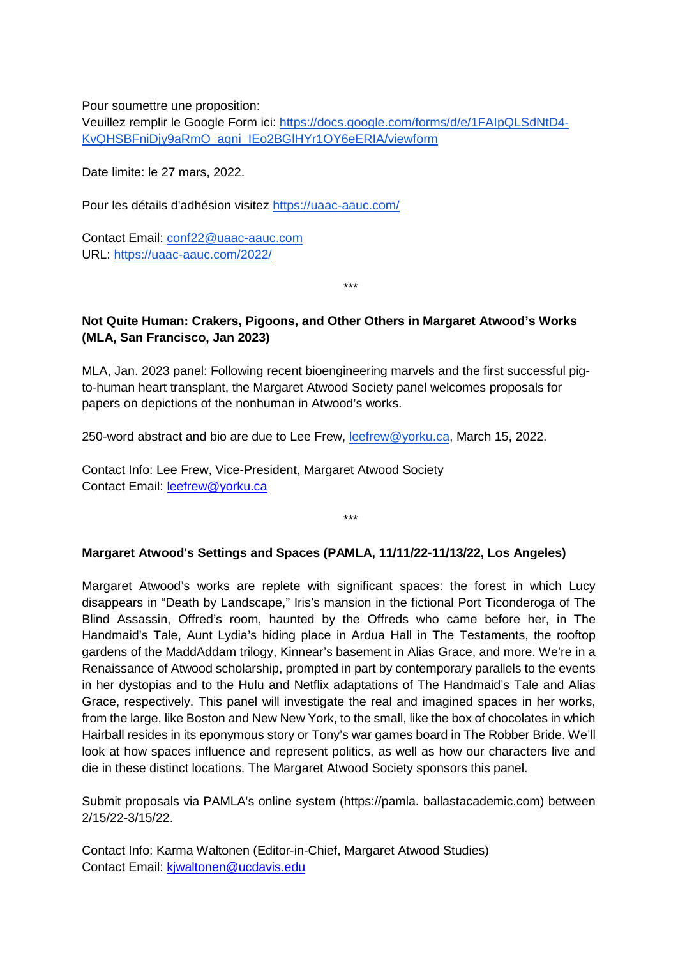Pour soumettre une proposition:

Veuillez remplir le Google Form ici: [https://docs.google.com/forms/d/e/1FAIpQLSdNtD4-](https://docs.google.com/forms/d/e/1FAIpQLSdNtD4-KvQHSBFniDjy9aRmO_agni_IEo2BGlHYr1OY6eERIA/viewform) [KvQHSBFniDjy9aRmO\\_agni\\_IEo2BGlHYr1OY6eERIA/viewform](https://docs.google.com/forms/d/e/1FAIpQLSdNtD4-KvQHSBFniDjy9aRmO_agni_IEo2BGlHYr1OY6eERIA/viewform)

Date limite: le 27 mars, 2022.

Pour les détails d'adhésion visitez<https://uaac-aauc.com/>

Contact Email: [conf22@uaac-aauc.com](mailto:conf22@uaac-aauc.com) URL:<https://uaac-aauc.com/2022/>

\*\*\*

# **Not Quite Human: Crakers, Pigoons, and Other Others in Margaret Atwood's Works (MLA, San Francisco, Jan 2023)**

MLA, Jan. 2023 panel: Following recent bioengineering marvels and the first successful pigto-human heart transplant, the Margaret Atwood Society panel welcomes proposals for papers on depictions of the nonhuman in Atwood's works.

250-word abstract and bio are due to Lee Frew, [leefrew@yorku.ca,](mailto:leefrew@yorku.ca) March 15, 2022.

Contact Info: Lee Frew, Vice-President, Margaret Atwood Society Contact Email: [leefrew@yorku.ca](mailto:leefrew@yorku.ca)

#### **Margaret Atwood's Settings and Spaces (PAMLA, 11/11/22-11/13/22, Los Angeles)**

\*\*\*

Margaret Atwood's works are replete with significant spaces: the forest in which Lucy disappears in "Death by Landscape," Iris's mansion in the fictional Port Ticonderoga of The Blind Assassin, Offred's room, haunted by the Offreds who came before her, in The Handmaid's Tale, Aunt Lydia's hiding place in Ardua Hall in The Testaments, the rooftop gardens of the MaddAddam trilogy, Kinnear's basement in Alias Grace, and more. We're in a Renaissance of Atwood scholarship, prompted in part by contemporary parallels to the events in her dystopias and to the Hulu and Netflix adaptations of The Handmaid's Tale and Alias Grace, respectively. This panel will investigate the real and imagined spaces in her works, from the large, like Boston and New New York, to the small, like the box of chocolates in which Hairball resides in its eponymous story or Tony's war games board in The Robber Bride. We'll look at how spaces influence and represent politics, as well as how our characters live and die in these distinct locations. The Margaret Atwood Society sponsors this panel.

Submit proposals via PAMLA's online system (https://pamla. ballastacademic.com) between 2/15/22-3/15/22.

Contact Info: Karma Waltonen (Editor-in-Chief, Margaret Atwood Studies) Contact Email: [kjwaltonen@ucdavis.edu](mailto:kjwaltonen@ucdavis.edu)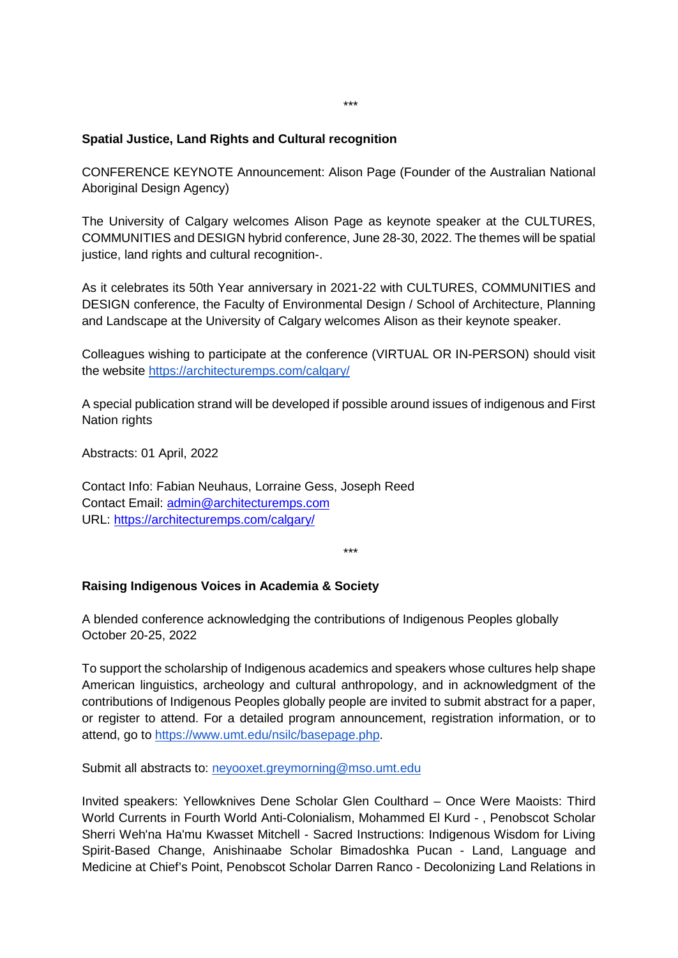## **Spatial Justice, Land Rights and Cultural recognition**

CONFERENCE KEYNOTE Announcement: Alison Page (Founder of the Australian National Aboriginal Design Agency)

The University of Calgary welcomes Alison Page as keynote speaker at the CULTURES, COMMUNITIES and DESIGN hybrid conference, June 28-30, 2022. The themes will be spatial justice, land rights and cultural recognition-.

As it celebrates its 50th Year anniversary in 2021-22 with CULTURES, COMMUNITIES and DESIGN conference, the Faculty of Environmental Design / School of Architecture, Planning and Landscape at the University of Calgary welcomes Alison as their keynote speaker.

Colleagues wishing to participate at the conference (VIRTUAL OR IN-PERSON) should visit the website<https://architecturemps.com/calgary/>

A special publication strand will be developed if possible around issues of indigenous and First Nation rights

Abstracts: 01 April, 2022

Contact Info: Fabian Neuhaus, Lorraine Gess, Joseph Reed Contact Email: [admin@architecturemps.com](mailto:admin@architecturemps.com) URL:<https://architecturemps.com/calgary/>

\*\*\*

#### **Raising Indigenous Voices in Academia & Society**

A blended conference acknowledging the contributions of Indigenous Peoples globally October 20-25, 2022

To support the scholarship of Indigenous academics and speakers whose cultures help shape American linguistics, archeology and cultural anthropology, and in acknowledgment of the contributions of Indigenous Peoples globally people are invited to submit abstract for a paper, or register to attend. For a detailed program announcement, registration information, or to attend, go to [https://www.umt.edu/nsilc/basepage.php.](https://www.umt.edu/nsilc/basepage.php)

Submit all abstracts to: [neyooxet.greymorning@mso.umt.edu](mailto:neyooxet.greymorning@mso.umt.edu)

Invited speakers: Yellowknives Dene Scholar Glen Coulthard – Once Were Maoists: Third World Currents in Fourth World Anti-Colonialism, Mohammed El Kurd - , Penobscot Scholar Sherri Weh'na Ha'mu Kwasset Mitchell - Sacred Instructions: Indigenous Wisdom for Living Spirit-Based Change, Anishinaabe Scholar Bimadoshka Pucan - Land, Language and Medicine at Chief's Point, Penobscot Scholar Darren Ranco - Decolonizing Land Relations in

\*\*\*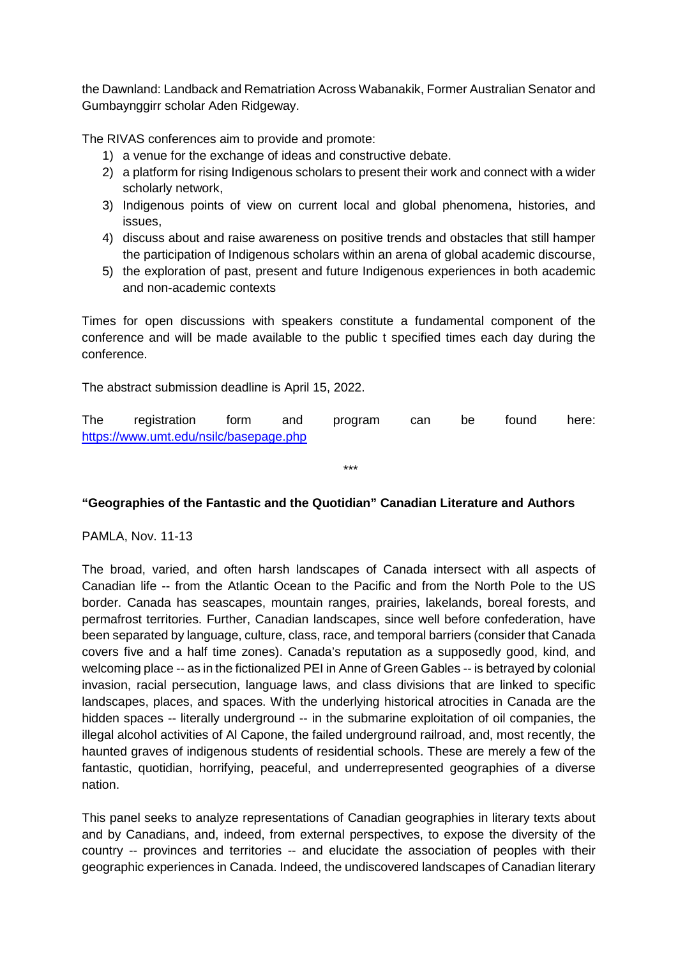the Dawnland: Landback and Rematriation Across Wabanakik, Former Australian Senator and Gumbaynggirr scholar Aden Ridgeway.

The RIVAS conferences aim to provide and promote:

- 1) a venue for the exchange of ideas and constructive debate.
- 2) a platform for rising Indigenous scholars to present their work and connect with a wider scholarly network,
- 3) Indigenous points of view on current local and global phenomena, histories, and issues,
- 4) discuss about and raise awareness on positive trends and obstacles that still hamper the participation of Indigenous scholars within an arena of global academic discourse,
- 5) the exploration of past, present and future Indigenous experiences in both academic and non-academic contexts

Times for open discussions with speakers constitute a fundamental component of the conference and will be made available to the public t specified times each day during the conference.

The abstract submission deadline is April 15, 2022.

The registration form and program can be found here: <https://www.umt.edu/nsilc/basepage.php>

\*\*\*

#### **"Geographies of the Fantastic and the Quotidian" Canadian Literature and Authors**

PAMLA, Nov. 11-13

The broad, varied, and often harsh landscapes of Canada intersect with all aspects of Canadian life -- from the Atlantic Ocean to the Pacific and from the North Pole to the US border. Canada has seascapes, mountain ranges, prairies, lakelands, boreal forests, and permafrost territories. Further, Canadian landscapes, since well before confederation, have been separated by language, culture, class, race, and temporal barriers (consider that Canada covers five and a half time zones). Canada's reputation as a supposedly good, kind, and welcoming place -- as in the fictionalized PEI in Anne of Green Gables -- is betrayed by colonial invasion, racial persecution, language laws, and class divisions that are linked to specific landscapes, places, and spaces. With the underlying historical atrocities in Canada are the hidden spaces -- literally underground -- in the submarine exploitation of oil companies, the illegal alcohol activities of Al Capone, the failed underground railroad, and, most recently, the haunted graves of indigenous students of residential schools. These are merely a few of the fantastic, quotidian, horrifying, peaceful, and underrepresented geographies of a diverse nation.

This panel seeks to analyze representations of Canadian geographies in literary texts about and by Canadians, and, indeed, from external perspectives, to expose the diversity of the country -- provinces and territories -- and elucidate the association of peoples with their geographic experiences in Canada. Indeed, the undiscovered landscapes of Canadian literary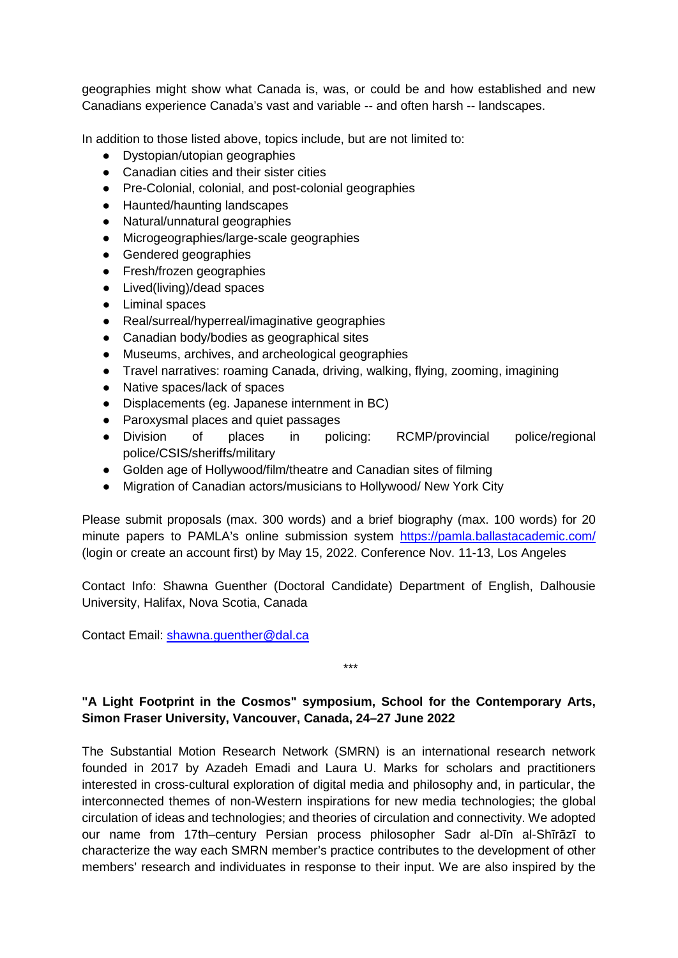geographies might show what Canada is, was, or could be and how established and new Canadians experience Canada's vast and variable -- and often harsh -- landscapes.

In addition to those listed above, topics include, but are not limited to:

- Dystopian/utopian geographies
- Canadian cities and their sister cities
- Pre-Colonial, colonial, and post-colonial geographies
- Haunted/haunting landscapes
- Natural/unnatural geographies
- Microgeographies/large-scale geographies
- Gendered geographies
- Fresh/frozen geographies
- Lived(living)/dead spaces
- Liminal spaces
- Real/surreal/hyperreal/imaginative geographies
- Canadian body/bodies as geographical sites
- Museums, archives, and archeological geographies
- Travel narratives: roaming Canada, driving, walking, flying, zooming, imagining
- Native spaces/lack of spaces
- Displacements (eg. Japanese internment in BC)
- Paroxysmal places and quiet passages
- Division of places in policing: RCMP/provincial police/regional police/CSIS/sheriffs/military
- Golden age of Hollywood/film/theatre and Canadian sites of filming
- Migration of Canadian actors/musicians to Hollywood/ New York City

Please submit proposals (max. 300 words) and a brief biography (max. 100 words) for 20 minute papers to PAMLA's online submission system<https://pamla.ballastacademic.com/> (login or create an account first) by May 15, 2022. Conference Nov. 11-13, Los Angeles

Contact Info: Shawna Guenther (Doctoral Candidate) Department of English, Dalhousie University, Halifax, Nova Scotia, Canada

Contact Email: [shawna.guenther@dal.ca](mailto:shawna.guenther@dal.ca)

# **"A Light Footprint in the Cosmos" symposium, School for the Contemporary Arts, Simon Fraser University, Vancouver, Canada, 24–27 June 2022**

\*\*\*

The Substantial Motion Research Network (SMRN) is an international research network founded in 2017 by Azadeh Emadi and Laura U. Marks for scholars and practitioners interested in cross-cultural exploration of digital media and philosophy and, in particular, the interconnected themes of non-Western inspirations for new media technologies; the global circulation of ideas and technologies; and theories of circulation and connectivity. We adopted our name from 17th–century Persian process philosopher Sadr al-Dīn al-Shīrāzī to characterize the way each SMRN member's practice contributes to the development of other members' research and individuates in response to their input. We are also inspired by the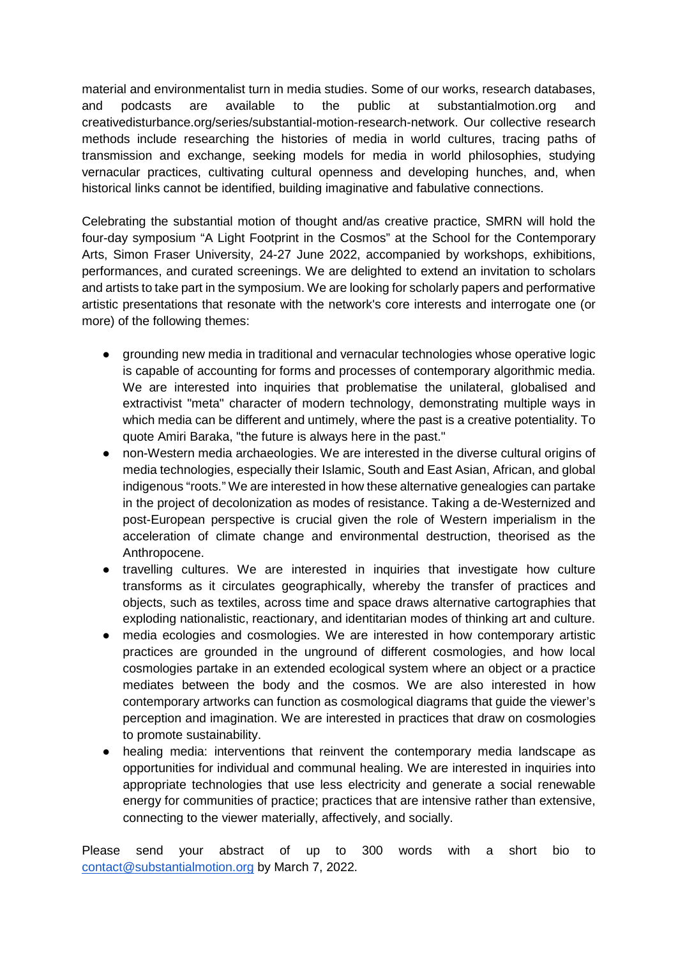material and environmentalist turn in media studies. Some of our works, research databases, and podcasts are available to the public at substantialmotion.org and creativedisturbance.org/series/substantial-motion-research-network. Our collective research methods include researching the histories of media in world cultures, tracing paths of transmission and exchange, seeking models for media in world philosophies, studying vernacular practices, cultivating cultural openness and developing hunches, and, when historical links cannot be identified, building imaginative and fabulative connections.

Celebrating the substantial motion of thought and/as creative practice, SMRN will hold the four-day symposium "A Light Footprint in the Cosmos" at the School for the Contemporary Arts, Simon Fraser University, 24-27 June 2022, accompanied by workshops, exhibitions, performances, and curated screenings. We are delighted to extend an invitation to scholars and artists to take part in the symposium. We are looking for scholarly papers and performative artistic presentations that resonate with the network's core interests and interrogate one (or more) of the following themes:

- grounding new media in traditional and vernacular technologies whose operative logic is capable of accounting for forms and processes of contemporary algorithmic media. We are interested into inquiries that problematise the unilateral, globalised and extractivist "meta" character of modern technology, demonstrating multiple ways in which media can be different and untimely, where the past is a creative potentiality. To quote Amiri Baraka, "the future is always here in the past."
- non-Western media archaeologies. We are interested in the diverse cultural origins of media technologies, especially their Islamic, South and East Asian, African, and global indigenous "roots." We are interested in how these alternative genealogies can partake in the project of decolonization as modes of resistance. Taking a de-Westernized and post-European perspective is crucial given the role of Western imperialism in the acceleration of climate change and environmental destruction, theorised as the Anthropocene.
- travelling cultures. We are interested in inquiries that investigate how culture transforms as it circulates geographically, whereby the transfer of practices and objects, such as textiles, across time and space draws alternative cartographies that exploding nationalistic, reactionary, and identitarian modes of thinking art and culture.
- media ecologies and cosmologies. We are interested in how contemporary artistic practices are grounded in the unground of different cosmologies, and how local cosmologies partake in an extended ecological system where an object or a practice mediates between the body and the cosmos. We are also interested in how contemporary artworks can function as cosmological diagrams that guide the viewer's perception and imagination. We are interested in practices that draw on cosmologies to promote sustainability.
- healing media: interventions that reinvent the contemporary media landscape as opportunities for individual and communal healing. We are interested in inquiries into appropriate technologies that use less electricity and generate a social renewable energy for communities of practice; practices that are intensive rather than extensive, connecting to the viewer materially, affectively, and socially.

Please send your abstract of up to 300 words with a short bio to [contact@substantialmotion.org](mailto:contact@substantialmotion.org) by March 7, 2022.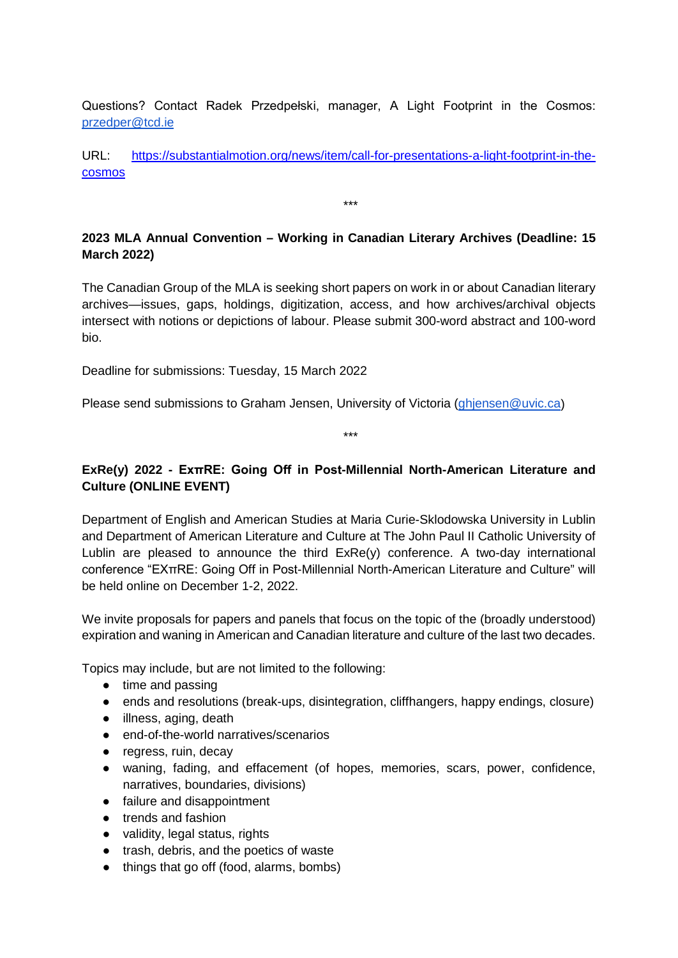Questions? Contact Radek Przedpełski, manager, A Light Footprint in the Cosmos: [przedper@tcd.ie](mailto:przedper@tcd.ie)

URL: [https://substantialmotion.org/news/item/call-for-presentations-a-light-footprint-in-the](https://substantialmotion.org/news/item/call-for-presentations-a-light-footprint-in-the-cosmos)[cosmos](https://substantialmotion.org/news/item/call-for-presentations-a-light-footprint-in-the-cosmos)

\*\*\*

# **2023 MLA Annual Convention – Working in Canadian Literary Archives (Deadline: 15 March 2022)**

The Canadian Group of the MLA is seeking short papers on work in or about Canadian literary archives—issues, gaps, holdings, digitization, access, and how archives/archival objects intersect with notions or depictions of labour. Please submit 300-word abstract and 100-word bio.

Deadline for submissions: Tuesday, 15 March 2022

Please send submissions to Graham Jensen, University of Victoria [\(ghjensen@uvic.ca\)](mailto:ghjensen@uvic.ca)

\*\*\*

# **ExRe(y) 2022 - ExπRE: Going Off in Post-Millennial North-American Literature and Culture (ONLINE EVENT)**

Department of English and American Studies at Maria Curie-Sklodowska University in Lublin and Department of American Literature and Culture at The John Paul II Catholic University of Lublin are pleased to announce the third ExRe(y) conference. A two-day international conference "EXπRE: Going Off in Post-Millennial North-American Literature and Culture" will be held online on December 1-2, 2022.

We invite proposals for papers and panels that focus on the topic of the (broadly understood) expiration and waning in American and Canadian literature and culture of the last two decades.

Topics may include, but are not limited to the following:

- time and passing
- ends and resolutions (break-ups, disintegration, cliffhangers, happy endings, closure)
- illness, aging, death
- end-of-the-world narratives/scenarios
- regress, ruin, decay
- waning, fading, and effacement (of hopes, memories, scars, power, confidence, narratives, boundaries, divisions)
- failure and disappointment
- trends and fashion
- validity, legal status, rights
- trash, debris, and the poetics of waste
- things that go off (food, alarms, bombs)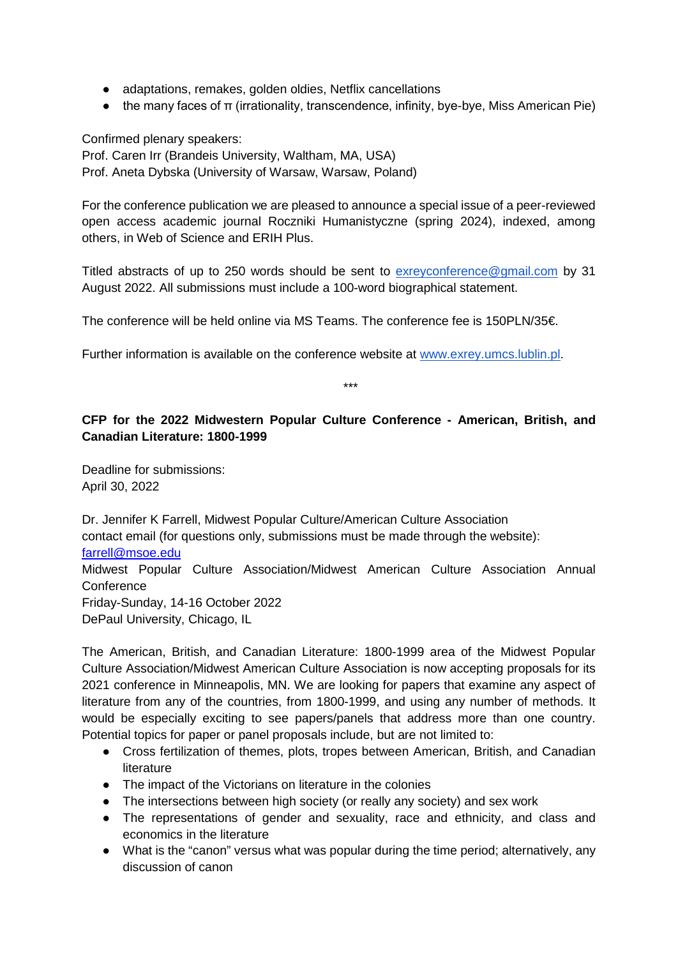- adaptations, remakes, golden oldies, Netflix cancellations
- the many faces of π (irrationality, transcendence, infinity, bye-bye, Miss American Pie)

Confirmed plenary speakers:

Prof. Caren Irr (Brandeis University, Waltham, MA, USA) Prof. Aneta Dybska (University of Warsaw, Warsaw, Poland)

For the conference publication we are pleased to announce a special issue of a peer-reviewed open access academic journal Roczniki Humanistyczne (spring 2024), indexed, among others, in Web of Science and ERIH Plus.

Titled abstracts of up to 250 words should be sent to [exreyconference@gmail.com](mailto:exreyconference@gmail.com) by 31 August 2022. All submissions must include a 100-word biographical statement.

The conference will be held online via MS Teams. The conference fee is 150PLN/35€.

Further information is available on the conference website at [www.exrey.umcs.lublin.pl.](http://www.exrey.umcs.lublin.pl/)

\*\*\*

# **CFP for the 2022 Midwestern Popular Culture Conference - American, British, and Canadian Literature: 1800-1999**

Deadline for submissions: April 30, 2022

Dr. Jennifer K Farrell, Midwest Popular Culture/American Culture Association contact email (for questions only, submissions must be made through the website): [farrell@msoe.edu](mailto:farrell@msoe.edu) Midwest Popular Culture Association/Midwest American Culture Association Annual **Conference** Friday-Sunday, 14-16 October 2022 DePaul University, Chicago, IL

The American, British, and Canadian Literature: 1800-1999 area of the Midwest Popular Culture Association/Midwest American Culture Association is now accepting proposals for its 2021 conference in Minneapolis, MN. We are looking for papers that examine any aspect of literature from any of the countries, from 1800-1999, and using any number of methods. It would be especially exciting to see papers/panels that address more than one country. Potential topics for paper or panel proposals include, but are not limited to:

- Cross fertilization of themes, plots, tropes between American, British, and Canadian literature
- The impact of the Victorians on literature in the colonies
- The intersections between high society (or really any society) and sex work
- The representations of gender and sexuality, race and ethnicity, and class and economics in the literature
- What is the "canon" versus what was popular during the time period; alternatively, any discussion of canon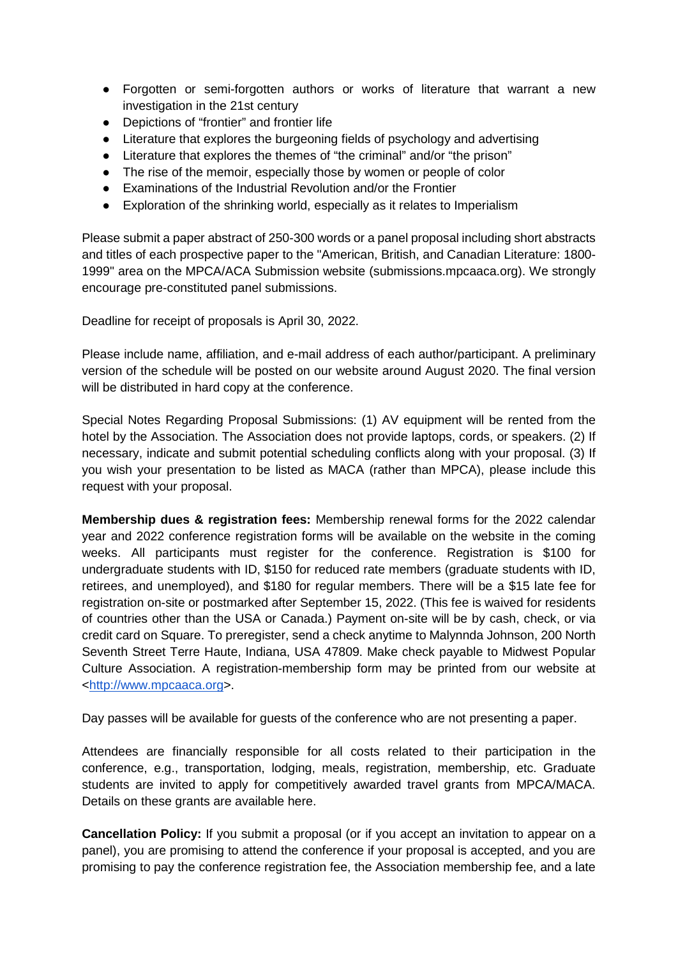- Forgotten or semi-forgotten authors or works of literature that warrant a new investigation in the 21st century
- Depictions of "frontier" and frontier life
- Literature that explores the burgeoning fields of psychology and advertising
- Literature that explores the themes of "the criminal" and/or "the prison"
- The rise of the memoir, especially those by women or people of color
- Examinations of the Industrial Revolution and/or the Frontier
- Exploration of the shrinking world, especially as it relates to Imperialism

Please submit a paper abstract of 250-300 words or a panel proposal including short abstracts and titles of each prospective paper to the "American, British, and Canadian Literature: 1800- 1999" area on the MPCA/ACA Submission website (submissions.mpcaaca.org). We strongly encourage pre-constituted panel submissions.

Deadline for receipt of proposals is April 30, 2022.

Please include name, affiliation, and e-mail address of each author/participant. A preliminary version of the schedule will be posted on our website around August 2020. The final version will be distributed in hard copy at the conference.

Special Notes Regarding Proposal Submissions: (1) AV equipment will be rented from the hotel by the Association. The Association does not provide laptops, cords, or speakers. (2) If necessary, indicate and submit potential scheduling conflicts along with your proposal. (3) If you wish your presentation to be listed as MACA (rather than MPCA), please include this request with your proposal.

**Membership dues & registration fees:** Membership renewal forms for the 2022 calendar year and 2022 conference registration forms will be available on the website in the coming weeks. All participants must register for the conference. Registration is \$100 for undergraduate students with ID, \$150 for reduced rate members (graduate students with ID, retirees, and unemployed), and \$180 for regular members. There will be a \$15 late fee for registration on-site or postmarked after September 15, 2022. (This fee is waived for residents of countries other than the USA or Canada.) Payment on-site will be by cash, check, or via credit card on Square. To preregister, send a check anytime to Malynnda Johnson, 200 North Seventh Street Terre Haute, Indiana, USA 47809. Make check payable to Midwest Popular Culture Association. A registration-membership form may be printed from our website at [<http://www.mpcaaca.org>](http://www.mpcaaca.org/).

Day passes will be available for guests of the conference who are not presenting a paper.

Attendees are financially responsible for all costs related to their participation in the conference, e.g., transportation, lodging, meals, registration, membership, etc. Graduate students are invited to apply for competitively awarded travel grants from MPCA/MACA. Details on these grants are available here.

**Cancellation Policy:** If you submit a proposal (or if you accept an invitation to appear on a panel), you are promising to attend the conference if your proposal is accepted, and you are promising to pay the conference registration fee, the Association membership fee, and a late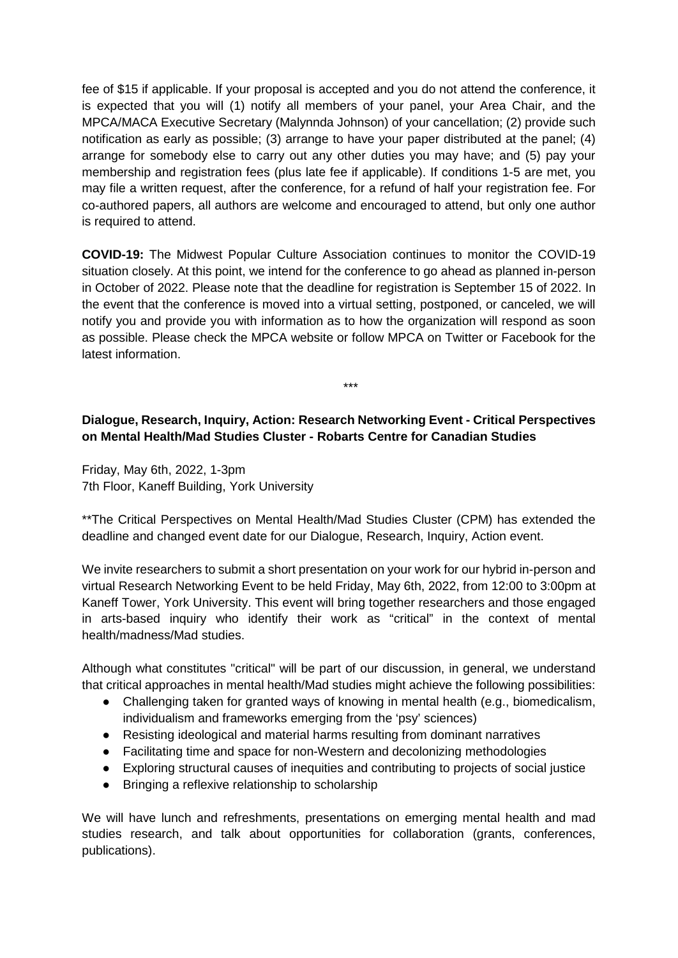fee of \$15 if applicable. If your proposal is accepted and you do not attend the conference, it is expected that you will (1) notify all members of your panel, your Area Chair, and the MPCA/MACA Executive Secretary (Malynnda Johnson) of your cancellation; (2) provide such notification as early as possible; (3) arrange to have your paper distributed at the panel; (4) arrange for somebody else to carry out any other duties you may have; and (5) pay your membership and registration fees (plus late fee if applicable). If conditions 1-5 are met, you may file a written request, after the conference, for a refund of half your registration fee. For co-authored papers, all authors are welcome and encouraged to attend, but only one author is required to attend.

**COVID-19:** The Midwest Popular Culture Association continues to monitor the COVID-19 situation closely. At this point, we intend for the conference to go ahead as planned in-person in October of 2022. Please note that the deadline for registration is September 15 of 2022. In the event that the conference is moved into a virtual setting, postponed, or canceled, we will notify you and provide you with information as to how the organization will respond as soon as possible. Please check the MPCA website or follow MPCA on Twitter or Facebook for the latest information.

\*\*\*

# **Dialogue, Research, Inquiry, Action: Research Networking Event - Critical Perspectives on Mental Health/Mad Studies Cluster - Robarts Centre for Canadian Studies**

Friday, May 6th, 2022, 1-3pm 7th Floor, Kaneff Building, York University

\*\*The Critical Perspectives on Mental Health/Mad Studies Cluster (CPM) has extended the deadline and changed event date for our Dialogue, Research, Inquiry, Action event.

We invite researchers to submit a short presentation on your work for our hybrid in-person and virtual Research Networking Event to be held Friday, May 6th, 2022, from 12:00 to 3:00pm at Kaneff Tower, York University. This event will bring together researchers and those engaged in arts-based inquiry who identify their work as "critical" in the context of mental health/madness/Mad studies.

Although what constitutes "critical" will be part of our discussion, in general, we understand that critical approaches in mental health/Mad studies might achieve the following possibilities:

- Challenging taken for granted ways of knowing in mental health (e.g., biomedicalism, individualism and frameworks emerging from the 'psy' sciences)
- Resisting ideological and material harms resulting from dominant narratives
- Facilitating time and space for non-Western and decolonizing methodologies
- Exploring structural causes of inequities and contributing to projects of social justice
- Bringing a reflexive relationship to scholarship

We will have lunch and refreshments, presentations on emerging mental health and mad studies research, and talk about opportunities for collaboration (grants, conferences, publications).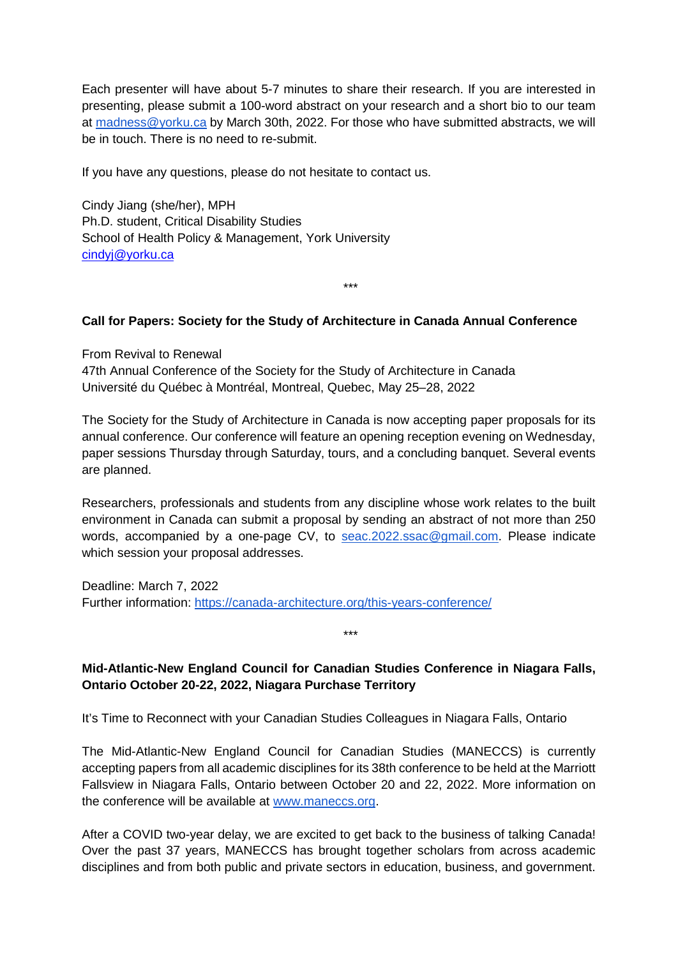Each presenter will have about 5-7 minutes to share their research. If you are interested in presenting, please submit a 100-word abstract on your research and a short bio to our team at [madness@yorku.ca](mailto:madness@yorku.ca) by March 30th, 2022. For those who have submitted abstracts, we will be in touch. There is no need to re-submit.

If you have any questions, please do not hesitate to contact us.

Cindy Jiang (she/her), MPH Ph.D. student, Critical Disability Studies School of Health Policy & Management, York University [cindyj@yorku.ca](mailto:cindyj@yorku.ca)

#### **Call for Papers: Society for the Study of Architecture in Canada Annual Conference**

\*\*\*

From Revival to Renewal

47th Annual Conference of the Society for the Study of Architecture in Canada Université du Québec à Montréal, Montreal, Quebec, May 25–28, 2022

The Society for the Study of Architecture in Canada is now accepting paper proposals for its annual conference. Our conference will feature an opening reception evening on Wednesday, paper sessions Thursday through Saturday, tours, and a concluding banquet. Several events are planned.

Researchers, professionals and students from any discipline whose work relates to the built environment in Canada can submit a proposal by sending an abstract of not more than 250 words, accompanied by a one-page CV, to [seac.2022.ssac@gmail.com.](mailto:seac.2022.ssac@gmail.com) Please indicate which session your proposal addresses.

Deadline: March 7, 2022 Further information:<https://canada-architecture.org/this-years-conference/>

\*\*\*

## **Mid-Atlantic-New England Council for Canadian Studies Conference in Niagara Falls, Ontario October 20-22, 2022, Niagara Purchase Territory**

It's Time to Reconnect with your Canadian Studies Colleagues in Niagara Falls, Ontario

The Mid-Atlantic-New England Council for Canadian Studies (MANECCS) is currently accepting papers from all academic disciplines for its 38th conference to be held at the Marriott Fallsview in Niagara Falls, Ontario between October 20 and 22, 2022. More information on the conference will be available at [www.maneccs.org.](http://www.maneccs.org/)

After a COVID two-year delay, we are excited to get back to the business of talking Canada! Over the past 37 years, MANECCS has brought together scholars from across academic disciplines and from both public and private sectors in education, business, and government.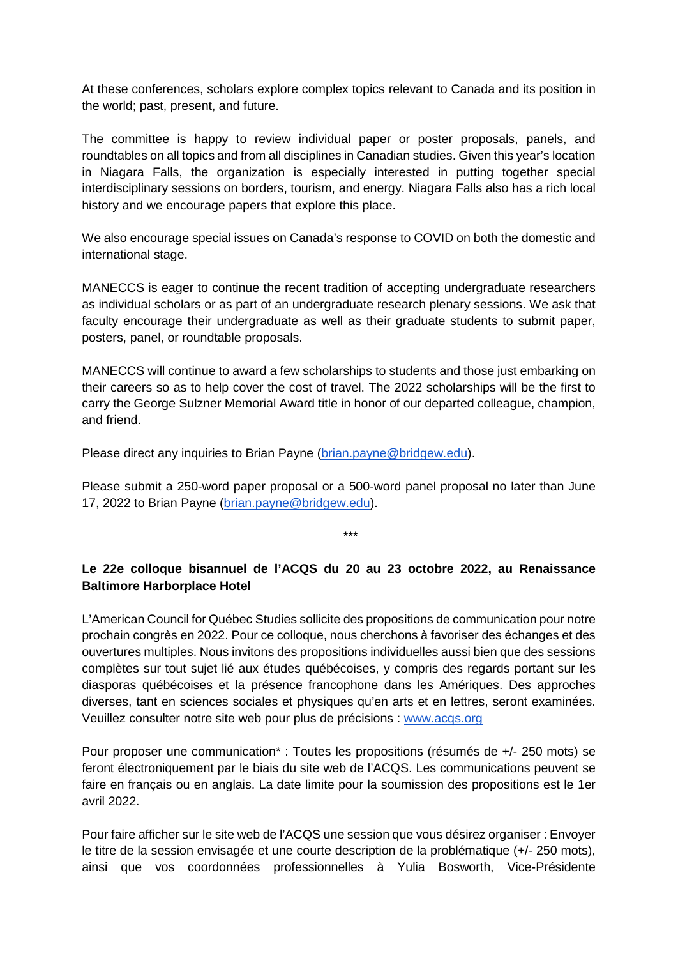At these conferences, scholars explore complex topics relevant to Canada and its position in the world; past, present, and future.

The committee is happy to review individual paper or poster proposals, panels, and roundtables on all topics and from all disciplines in Canadian studies. Given this year's location in Niagara Falls, the organization is especially interested in putting together special interdisciplinary sessions on borders, tourism, and energy. Niagara Falls also has a rich local history and we encourage papers that explore this place.

We also encourage special issues on Canada's response to COVID on both the domestic and international stage.

MANECCS is eager to continue the recent tradition of accepting undergraduate researchers as individual scholars or as part of an undergraduate research plenary sessions. We ask that faculty encourage their undergraduate as well as their graduate students to submit paper, posters, panel, or roundtable proposals.

MANECCS will continue to award a few scholarships to students and those just embarking on their careers so as to help cover the cost of travel. The 2022 scholarships will be the first to carry the George Sulzner Memorial Award title in honor of our departed colleague, champion, and friend.

Please direct any inquiries to Brian Payne [\(brian.payne@bridgew.edu\)](mailto:brian.payne@bridgew.edu).

Please submit a 250-word paper proposal or a 500-word panel proposal no later than June 17, 2022 to Brian Payne [\(brian.payne@bridgew.edu\)](mailto:brian.payne@bridgew.edu).

\*\*\*

# **Le 22e colloque bisannuel de l'ACQS du 20 au 23 octobre 2022, au Renaissance Baltimore Harborplace Hotel**

L'American Council for Québec Studies sollicite des propositions de communication pour notre prochain congrès en 2022. Pour ce colloque, nous cherchons à favoriser des échanges et des ouvertures multiples. Nous invitons des propositions individuelles aussi bien que des sessions complètes sur tout sujet lié aux études québécoises, y compris des regards portant sur les diasporas québécoises et la présence francophone dans les Amériques. Des approches diverses, tant en sciences sociales et physiques qu'en arts et en lettres, seront examinées. Veuillez consulter notre site web pour plus de précisions : [www.acqs.org](http://www.acqs.org/)

Pour proposer une communication\* : Toutes les propositions (résumés de +/- 250 mots) se feront électroniquement par le biais du site web de l'ACQS. Les communications peuvent se faire en français ou en anglais. La date limite pour la soumission des propositions est le 1er avril 2022.

Pour faire afficher sur le site web de l'ACQS une session que vous désirez organiser : Envoyer le titre de la session envisagée et une courte description de la problématique (+/- 250 mots), ainsi que vos coordonnées professionnelles à Yulia Bosworth, Vice-Présidente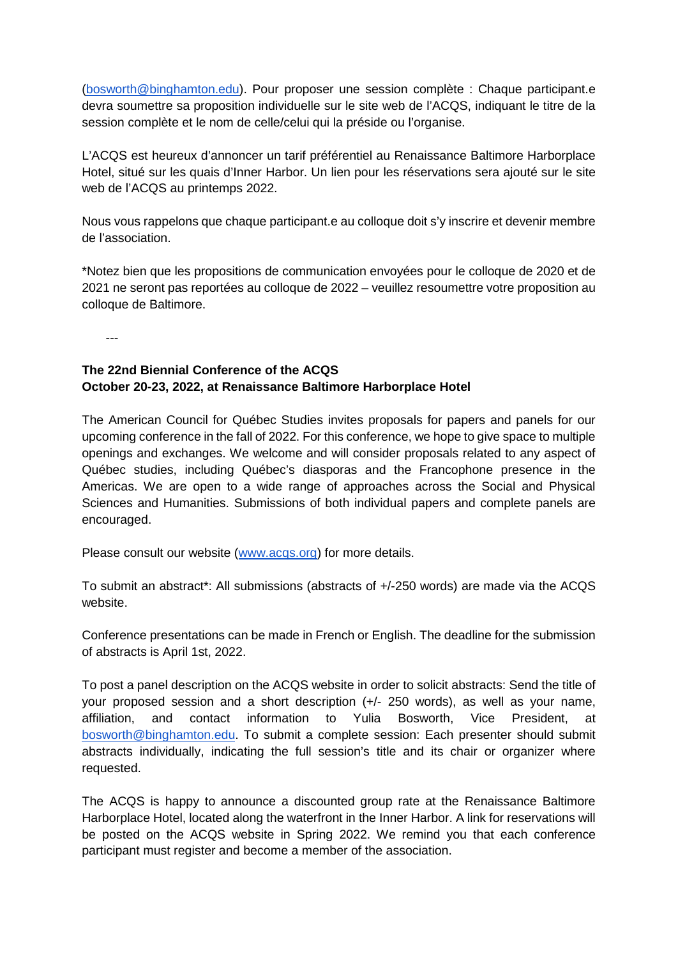[\(bosworth@binghamton.edu\)](mailto:bosworth@binghamton.edu). Pour proposer une session complète : Chaque participant.e devra soumettre sa proposition individuelle sur le site web de l'ACQS, indiquant le titre de la session complète et le nom de celle/celui qui la préside ou l'organise.

L'ACQS est heureux d'annoncer un tarif préférentiel au Renaissance Baltimore Harborplace Hotel, situé sur les quais d'Inner Harbor. Un lien pour les réservations sera ajouté sur le site web de l'ACQS au printemps 2022.

Nous vous rappelons que chaque participant.e au colloque doit s'y inscrire et devenir membre de l'association.

\*Notez bien que les propositions de communication envoyées pour le colloque de 2020 et de 2021 ne seront pas reportées au colloque de 2022 – veuillez resoumettre votre proposition au colloque de Baltimore.

---

# **The 22nd Biennial Conference of the ACQS October 20-23, 2022, at Renaissance Baltimore Harborplace Hotel**

The American Council for Québec Studies invites proposals for papers and panels for our upcoming conference in the fall of 2022. For this conference, we hope to give space to multiple openings and exchanges. We welcome and will consider proposals related to any aspect of Québec studies, including Québec's diasporas and the Francophone presence in the Americas. We are open to a wide range of approaches across the Social and Physical Sciences and Humanities. Submissions of both individual papers and complete panels are encouraged.

Please consult our website [\(www.acqs.org\)](http://www.acqs.org/) for more details.

To submit an abstract\*: All submissions (abstracts of +/-250 words) are made via the ACQS website.

Conference presentations can be made in French or English. The deadline for the submission of abstracts is April 1st, 2022.

To post a panel description on the ACQS website in order to solicit abstracts: Send the title of your proposed session and a short description (+/- 250 words), as well as your name, affiliation, and contact information to Yulia Bosworth, Vice President, at [bosworth@binghamton.edu.](mailto:bosworth@binghamton.edu) To submit a complete session: Each presenter should submit abstracts individually, indicating the full session's title and its chair or organizer where requested.

The ACQS is happy to announce a discounted group rate at the Renaissance Baltimore Harborplace Hotel, located along the waterfront in the Inner Harbor. A link for reservations will be posted on the ACQS website in Spring 2022. We remind you that each conference participant must register and become a member of the association.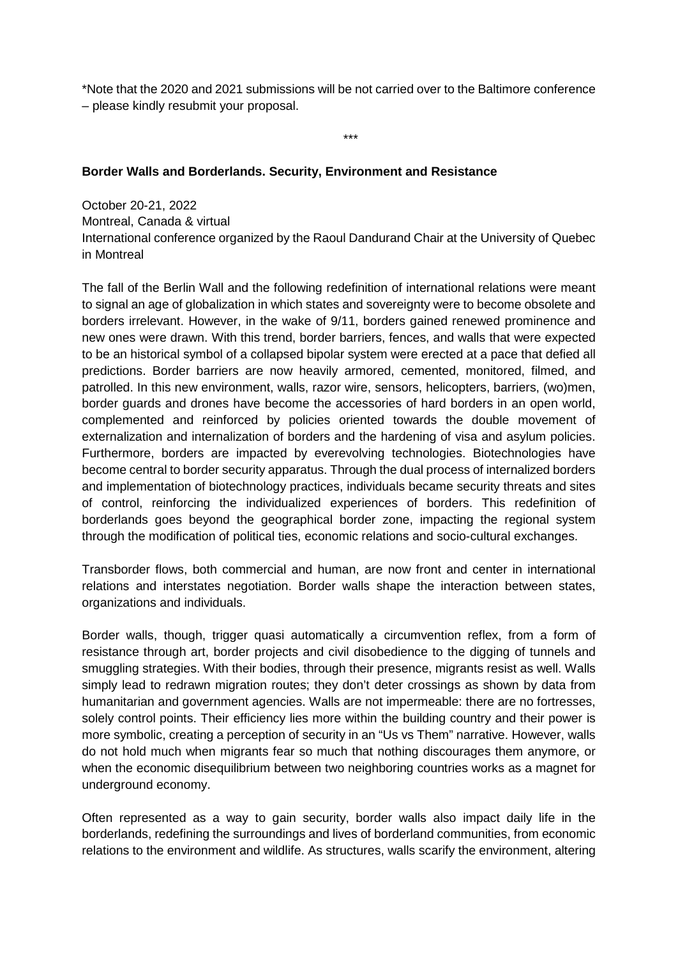\*Note that the 2020 and 2021 submissions will be not carried over to the Baltimore conference – please kindly resubmit your proposal.

\*\*\*

## **Border Walls and Borderlands. Security, Environment and Resistance**

October 20-21, 2022 Montreal, Canada & virtual International conference organized by the Raoul Dandurand Chair at the University of Quebec in Montreal

The fall of the Berlin Wall and the following redefinition of international relations were meant to signal an age of globalization in which states and sovereignty were to become obsolete and borders irrelevant. However, in the wake of 9/11, borders gained renewed prominence and new ones were drawn. With this trend, border barriers, fences, and walls that were expected to be an historical symbol of a collapsed bipolar system were erected at a pace that defied all predictions. Border barriers are now heavily armored, cemented, monitored, filmed, and patrolled. In this new environment, walls, razor wire, sensors, helicopters, barriers, (wo)men, border guards and drones have become the accessories of hard borders in an open world, complemented and reinforced by policies oriented towards the double movement of externalization and internalization of borders and the hardening of visa and asylum policies. Furthermore, borders are impacted by everevolving technologies. Biotechnologies have become central to border security apparatus. Through the dual process of internalized borders and implementation of biotechnology practices, individuals became security threats and sites of control, reinforcing the individualized experiences of borders. This redefinition of borderlands goes beyond the geographical border zone, impacting the regional system through the modification of political ties, economic relations and socio-cultural exchanges.

Transborder flows, both commercial and human, are now front and center in international relations and interstates negotiation. Border walls shape the interaction between states, organizations and individuals.

Border walls, though, trigger quasi automatically a circumvention reflex, from a form of resistance through art, border projects and civil disobedience to the digging of tunnels and smuggling strategies. With their bodies, through their presence, migrants resist as well. Walls simply lead to redrawn migration routes; they don't deter crossings as shown by data from humanitarian and government agencies. Walls are not impermeable: there are no fortresses, solely control points. Their efficiency lies more within the building country and their power is more symbolic, creating a perception of security in an "Us vs Them" narrative. However, walls do not hold much when migrants fear so much that nothing discourages them anymore, or when the economic disequilibrium between two neighboring countries works as a magnet for underground economy.

Often represented as a way to gain security, border walls also impact daily life in the borderlands, redefining the surroundings and lives of borderland communities, from economic relations to the environment and wildlife. As structures, walls scarify the environment, altering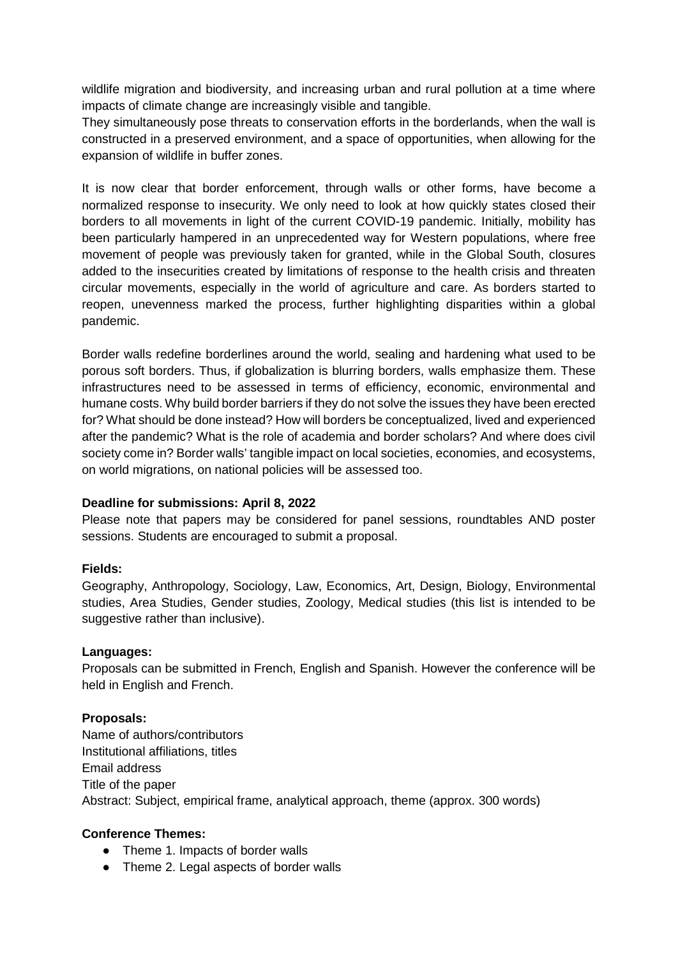wildlife migration and biodiversity, and increasing urban and rural pollution at a time where impacts of climate change are increasingly visible and tangible.

They simultaneously pose threats to conservation efforts in the borderlands, when the wall is constructed in a preserved environment, and a space of opportunities, when allowing for the expansion of wildlife in buffer zones.

It is now clear that border enforcement, through walls or other forms, have become a normalized response to insecurity. We only need to look at how quickly states closed their borders to all movements in light of the current COVID-19 pandemic. Initially, mobility has been particularly hampered in an unprecedented way for Western populations, where free movement of people was previously taken for granted, while in the Global South, closures added to the insecurities created by limitations of response to the health crisis and threaten circular movements, especially in the world of agriculture and care. As borders started to reopen, unevenness marked the process, further highlighting disparities within a global pandemic.

Border walls redefine borderlines around the world, sealing and hardening what used to be porous soft borders. Thus, if globalization is blurring borders, walls emphasize them. These infrastructures need to be assessed in terms of efficiency, economic, environmental and humane costs. Why build border barriers if they do not solve the issues they have been erected for? What should be done instead? How will borders be conceptualized, lived and experienced after the pandemic? What is the role of academia and border scholars? And where does civil society come in? Border walls' tangible impact on local societies, economies, and ecosystems, on world migrations, on national policies will be assessed too.

#### **Deadline for submissions: April 8, 2022**

Please note that papers may be considered for panel sessions, roundtables AND poster sessions. Students are encouraged to submit a proposal.

#### **Fields:**

Geography, Anthropology, Sociology, Law, Economics, Art, Design, Biology, Environmental studies, Area Studies, Gender studies, Zoology, Medical studies (this list is intended to be suggestive rather than inclusive).

#### **Languages:**

Proposals can be submitted in French, English and Spanish. However the conference will be held in English and French.

#### **Proposals:**

Name of authors/contributors Institutional affiliations, titles Email address Title of the paper Abstract: Subject, empirical frame, analytical approach, theme (approx. 300 words)

# **Conference Themes:**

- Theme 1. Impacts of border walls
- Theme 2. Legal aspects of border walls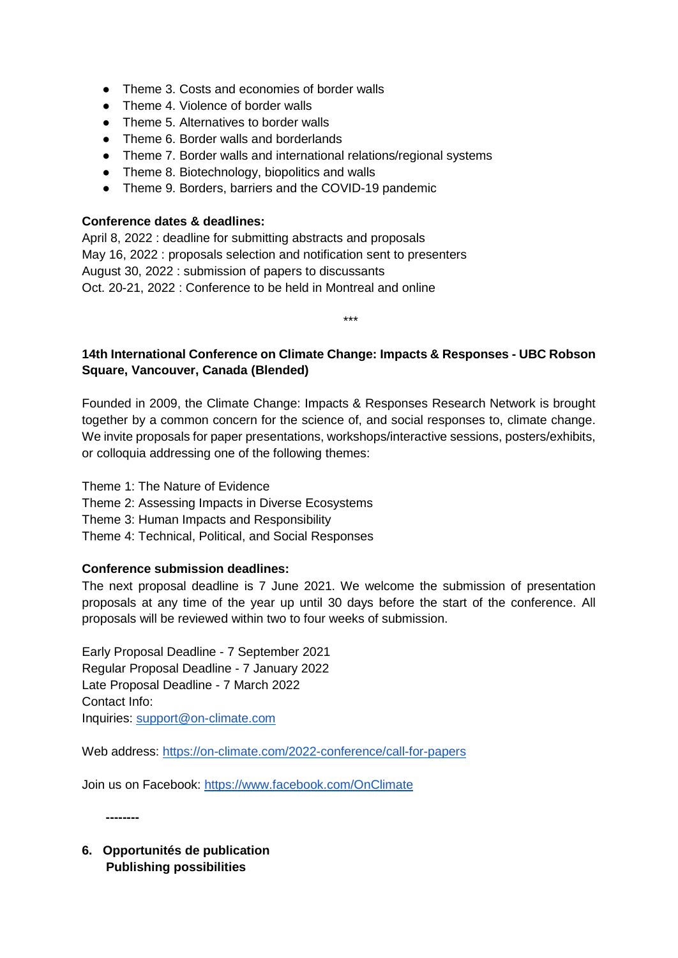- Theme 3. Costs and economies of border walls
- Theme 4. Violence of border walls
- Theme 5. Alternatives to border walls
- Theme 6. Border walls and borderlands
- Theme 7. Border walls and international relations/regional systems
- Theme 8. Biotechnology, biopolitics and walls
- Theme 9. Borders, barriers and the COVID-19 pandemic

#### **Conference dates & deadlines:**

April 8, 2022 : deadline for submitting abstracts and proposals May 16, 2022 : proposals selection and notification sent to presenters August 30, 2022 : submission of papers to discussants Oct. 20-21, 2022 : Conference to be held in Montreal and online

# **14th International Conference on Climate Change: Impacts & Responses - UBC Robson Square, Vancouver, Canada (Blended)**

\*\*\*

Founded in 2009, the Climate Change: Impacts & Responses Research Network is brought together by a common concern for the science of, and social responses to, climate change. We invite proposals for paper presentations, workshops/interactive sessions, posters/exhibits, or colloquia addressing one of the following themes:

- Theme 1: The Nature of Evidence
- Theme 2: Assessing Impacts in Diverse Ecosystems
- Theme 3: Human Impacts and Responsibility
- Theme 4: Technical, Political, and Social Responses

#### **Conference submission deadlines:**

The next proposal deadline is 7 June 2021. We welcome the submission of presentation proposals at any time of the year up until 30 days before the start of the conference. All proposals will be reviewed within two to four weeks of submission.

Early Proposal Deadline - 7 September 2021 Regular Proposal Deadline - 7 January 2022 Late Proposal Deadline - 7 March 2022 Contact Info: Inquiries: [support@on-climate.com](mailto:support@on-climate.com)

Web address:<https://on-climate.com/2022-conference/call-for-papers>

Join us on Facebook:<https://www.facebook.com/OnClimate>

**--------**

**6. Opportunités de publication Publishing possibilities**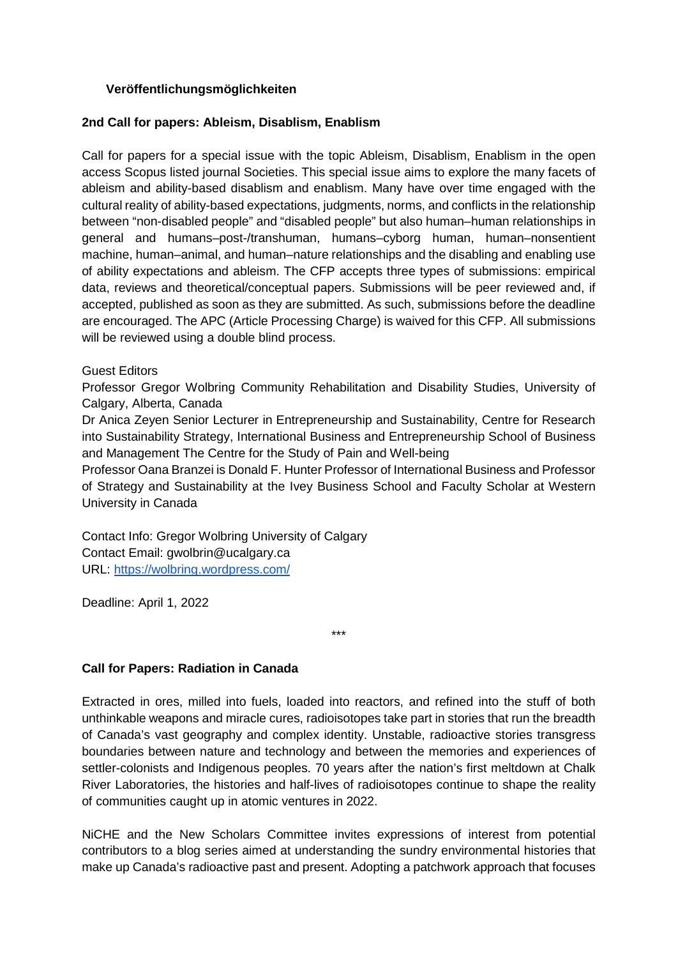## **Veröffentlichungsmöglichkeiten**

#### **2nd Call for papers: Ableism, Disablism, Enablism**

Call for papers for a special issue with the topic Ableism, Disablism, Enablism in the open access Scopus listed journal Societies. This special issue aims to explore the many facets of ableism and ability-based disablism and enablism. Many have over time engaged with the cultural reality of ability-based expectations, judgments, norms, and conflicts in the relationship between "non-disabled people" and "disabled people" but also human–human relationships in general and humans–post-/transhuman, humans–cyborg human, human–nonsentient machine, human–animal, and human–nature relationships and the disabling and enabling use of ability expectations and ableism. The CFP accepts three types of submissions: empirical data, reviews and theoretical/conceptual papers. Submissions will be peer reviewed and, if accepted, published as soon as they are submitted. As such, submissions before the deadline are encouraged. The APC (Article Processing Charge) is waived for this CFP. All submissions will be reviewed using a double blind process.

#### Guest Editors

Professor Gregor Wolbring Community Rehabilitation and Disability Studies, University of Calgary, Alberta, Canada

Dr Anica Zeyen Senior Lecturer in Entrepreneurship and Sustainability, Centre for Research into Sustainability Strategy, International Business and Entrepreneurship School of Business and Management The Centre for the Study of Pain and Well-being

Professor Oana Branzei is Donald F. Hunter Professor of International Business and Professor of Strategy and Sustainability at the Ivey Business School and Faculty Scholar at Western University in Canada

Contact Info: Gregor Wolbring University of Calgary Contact Email: gwolbrin@ucalgary.ca URL:<https://wolbring.wordpress.com/>

Deadline: April 1, 2022

\*\*\*

#### **Call for Papers: Radiation in Canada**

Extracted in ores, milled into fuels, loaded into reactors, and refined into the stuff of both unthinkable weapons and miracle cures, radioisotopes take part in stories that run the breadth of Canada's vast geography and complex identity. Unstable, radioactive stories transgress boundaries between nature and technology and between the memories and experiences of settler-colonists and Indigenous peoples. 70 years after the nation's first meltdown at Chalk River Laboratories, the histories and half-lives of radioisotopes continue to shape the reality of communities caught up in atomic ventures in 2022.

NiCHE and the New Scholars Committee invites expressions of interest from potential contributors to a blog series aimed at understanding the sundry environmental histories that make up Canada's radioactive past and present. Adopting a patchwork approach that focuses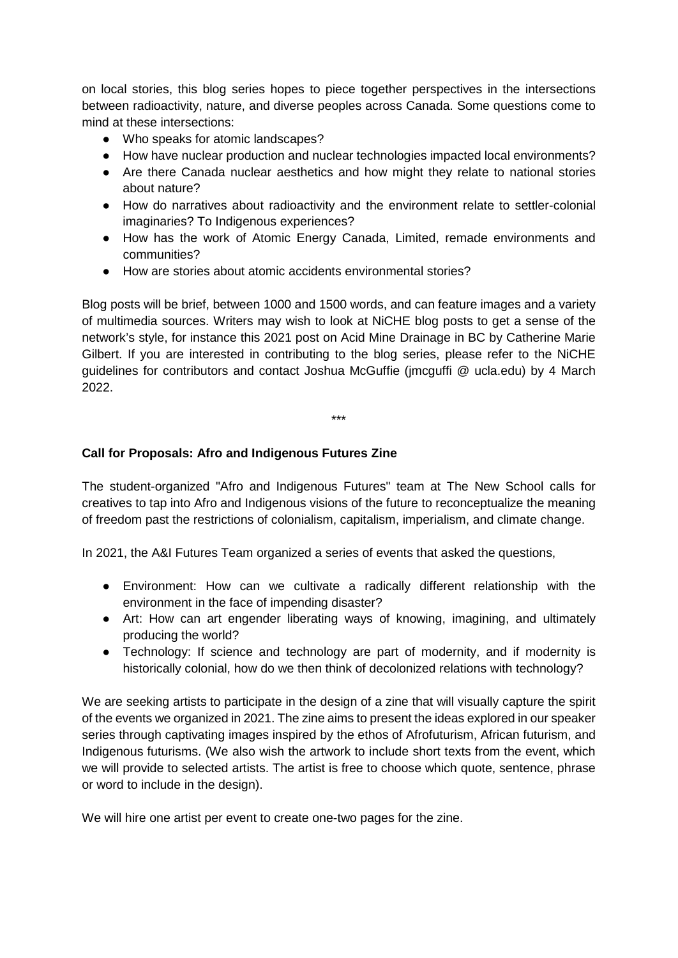on local stories, this blog series hopes to piece together perspectives in the intersections between radioactivity, nature, and diverse peoples across Canada. Some questions come to mind at these intersections:

- Who speaks for atomic landscapes?
- How have nuclear production and nuclear technologies impacted local environments?
- Are there Canada nuclear aesthetics and how might they relate to national stories about nature?
- How do narratives about radioactivity and the environment relate to settler-colonial imaginaries? To Indigenous experiences?
- How has the work of Atomic Energy Canada, Limited, remade environments and communities?
- How are stories about atomic accidents environmental stories?

Blog posts will be brief, between 1000 and 1500 words, and can feature images and a variety of multimedia sources. Writers may wish to look at NiCHE blog posts to get a sense of the network's style, for instance this 2021 post on Acid Mine Drainage in BC by Catherine Marie Gilbert. If you are interested in contributing to the blog series, please refer to the NiCHE guidelines for contributors and contact Joshua McGuffie (jmcguffi @ ucla.edu) by 4 March 2022.

\*\*\*

## **Call for Proposals: Afro and Indigenous Futures Zine**

The student-organized "Afro and Indigenous Futures" team at The New School calls for creatives to tap into Afro and Indigenous visions of the future to reconceptualize the meaning of freedom past the restrictions of colonialism, capitalism, imperialism, and climate change.

In 2021, the A&I Futures Team organized a series of events that asked the questions,

- Environment: How can we cultivate a radically different relationship with the environment in the face of impending disaster?
- Art: How can art engender liberating ways of knowing, imagining, and ultimately producing the world?
- Technology: If science and technology are part of modernity, and if modernity is historically colonial, how do we then think of decolonized relations with technology?

We are seeking artists to participate in the design of a zine that will visually capture the spirit of the events we organized in 2021. The zine aims to present the ideas explored in our speaker series through captivating images inspired by the ethos of Afrofuturism, African futurism, and Indigenous futurisms. (We also wish the artwork to include short texts from the event, which we will provide to selected artists. The artist is free to choose which quote, sentence, phrase or word to include in the design).

We will hire one artist per event to create one-two pages for the zine.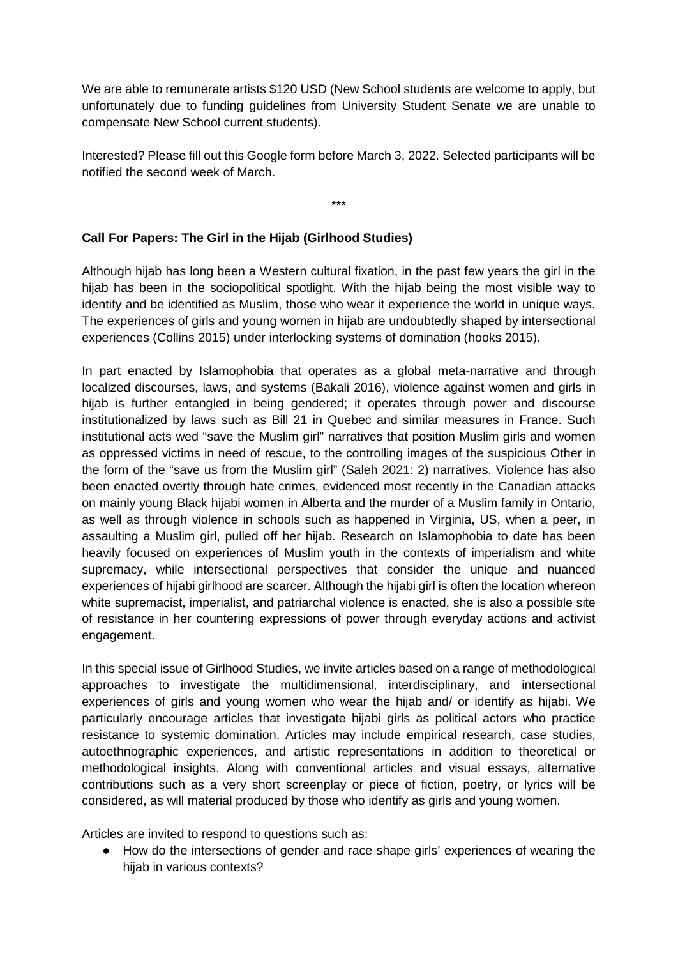We are able to remunerate artists \$120 USD (New School students are welcome to apply, but unfortunately due to funding guidelines from University Student Senate we are unable to compensate New School current students).

Interested? Please fill out this Google form before March 3, 2022. Selected participants will be notified the second week of March.

\*\*\*

# **Call For Papers: The Girl in the Hijab (Girlhood Studies)**

Although hijab has long been a Western cultural fixation, in the past few years the girl in the hijab has been in the sociopolitical spotlight. With the hijab being the most visible way to identify and be identified as Muslim, those who wear it experience the world in unique ways. The experiences of girls and young women in hijab are undoubtedly shaped by intersectional experiences (Collins 2015) under interlocking systems of domination (hooks 2015).

In part enacted by Islamophobia that operates as a global meta-narrative and through localized discourses, laws, and systems (Bakali 2016), violence against women and girls in hijab is further entangled in being gendered; it operates through power and discourse institutionalized by laws such as Bill 21 in Quebec and similar measures in France. Such institutional acts wed "save the Muslim girl" narratives that position Muslim girls and women as oppressed victims in need of rescue, to the controlling images of the suspicious Other in the form of the "save us from the Muslim girl" (Saleh 2021: 2) narratives. Violence has also been enacted overtly through hate crimes, evidenced most recently in the Canadian attacks on mainly young Black hijabi women in Alberta and the murder of a Muslim family in Ontario, as well as through violence in schools such as happened in Virginia, US, when a peer, in assaulting a Muslim girl, pulled off her hijab. Research on Islamophobia to date has been heavily focused on experiences of Muslim youth in the contexts of imperialism and white supremacy, while intersectional perspectives that consider the unique and nuanced experiences of hijabi girlhood are scarcer. Although the hijabi girl is often the location whereon white supremacist, imperialist, and patriarchal violence is enacted, she is also a possible site of resistance in her countering expressions of power through everyday actions and activist engagement.

In this special issue of Girlhood Studies, we invite articles based on a range of methodological approaches to investigate the multidimensional, interdisciplinary, and intersectional experiences of girls and young women who wear the hijab and/ or identify as hijabi. We particularly encourage articles that investigate hijabi girls as political actors who practice resistance to systemic domination. Articles may include empirical research, case studies, autoethnographic experiences, and artistic representations in addition to theoretical or methodological insights. Along with conventional articles and visual essays, alternative contributions such as a very short screenplay or piece of fiction, poetry, or lyrics will be considered, as will material produced by those who identify as girls and young women.

Articles are invited to respond to questions such as:

● How do the intersections of gender and race shape girls' experiences of wearing the hijab in various contexts?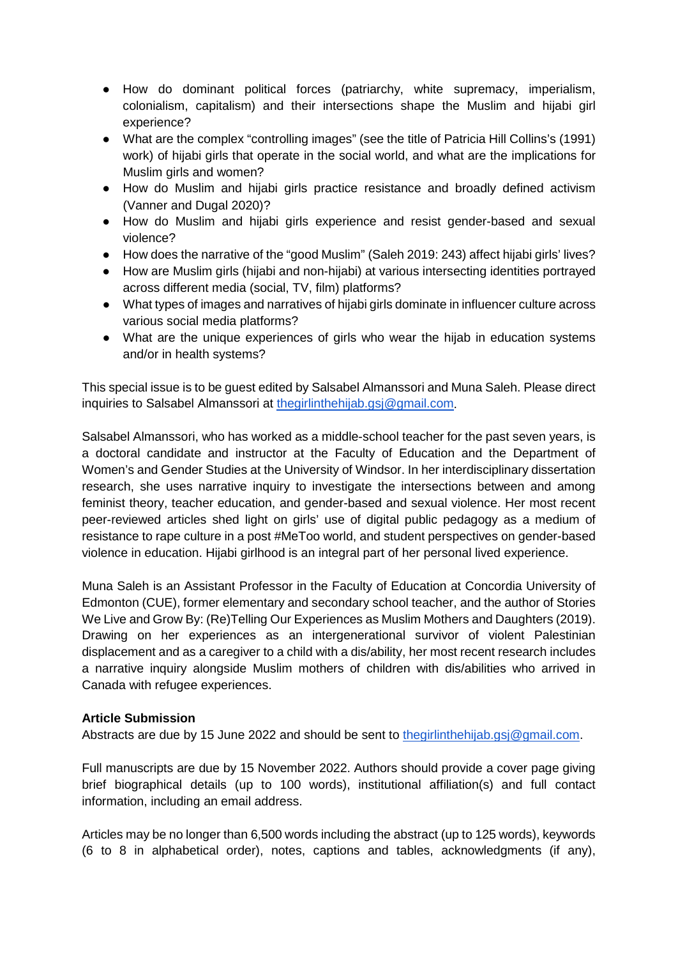- How do dominant political forces (patriarchy, white supremacy, imperialism, colonialism, capitalism) and their intersections shape the Muslim and hijabi girl experience?
- What are the complex "controlling images" (see the title of Patricia Hill Collins's (1991) work) of hijabi girls that operate in the social world, and what are the implications for Muslim girls and women?
- How do Muslim and hijabi girls practice resistance and broadly defined activism (Vanner and Dugal 2020)?
- How do Muslim and hijabi girls experience and resist gender-based and sexual violence?
- How does the narrative of the "good Muslim" (Saleh 2019: 243) affect hijabi girls' lives?
- How are Muslim girls (hijabi and non-hijabi) at various intersecting identities portrayed across different media (social, TV, film) platforms?
- What types of images and narratives of hijabi girls dominate in influencer culture across various social media platforms?
- What are the unique experiences of girls who wear the hijab in education systems and/or in health systems?

This special issue is to be guest edited by Salsabel Almanssori and Muna Saleh. Please direct inquiries to Salsabel Almanssori at [thegirlinthehijab.gsj@gmail.com.](mailto:thegirlinthehijab.gsj@gmail.com)

Salsabel Almanssori, who has worked as a middle-school teacher for the past seven years, is a doctoral candidate and instructor at the Faculty of Education and the Department of Women's and Gender Studies at the University of Windsor. In her interdisciplinary dissertation research, she uses narrative inquiry to investigate the intersections between and among feminist theory, teacher education, and gender-based and sexual violence. Her most recent peer-reviewed articles shed light on girls' use of digital public pedagogy as a medium of resistance to rape culture in a post #MeToo world, and student perspectives on gender-based violence in education. Hijabi girlhood is an integral part of her personal lived experience.

Muna Saleh is an Assistant Professor in the Faculty of Education at Concordia University of Edmonton (CUE), former elementary and secondary school teacher, and the author of Stories We Live and Grow By: (Re)Telling Our Experiences as Muslim Mothers and Daughters (2019). Drawing on her experiences as an intergenerational survivor of violent Palestinian displacement and as a caregiver to a child with a dis/ability, her most recent research includes a narrative inquiry alongside Muslim mothers of children with dis/abilities who arrived in Canada with refugee experiences.

#### **Article Submission**

Abstracts are due by 15 June 2022 and should be sent to [thegirlinthehijab.gsj@gmail.com.](mailto:thegirlinthehijab.gsj@gmail.com)

Full manuscripts are due by 15 November 2022. Authors should provide a cover page giving brief biographical details (up to 100 words), institutional affiliation(s) and full contact information, including an email address.

Articles may be no longer than 6,500 words including the abstract (up to 125 words), keywords (6 to 8 in alphabetical order), notes, captions and tables, acknowledgments (if any),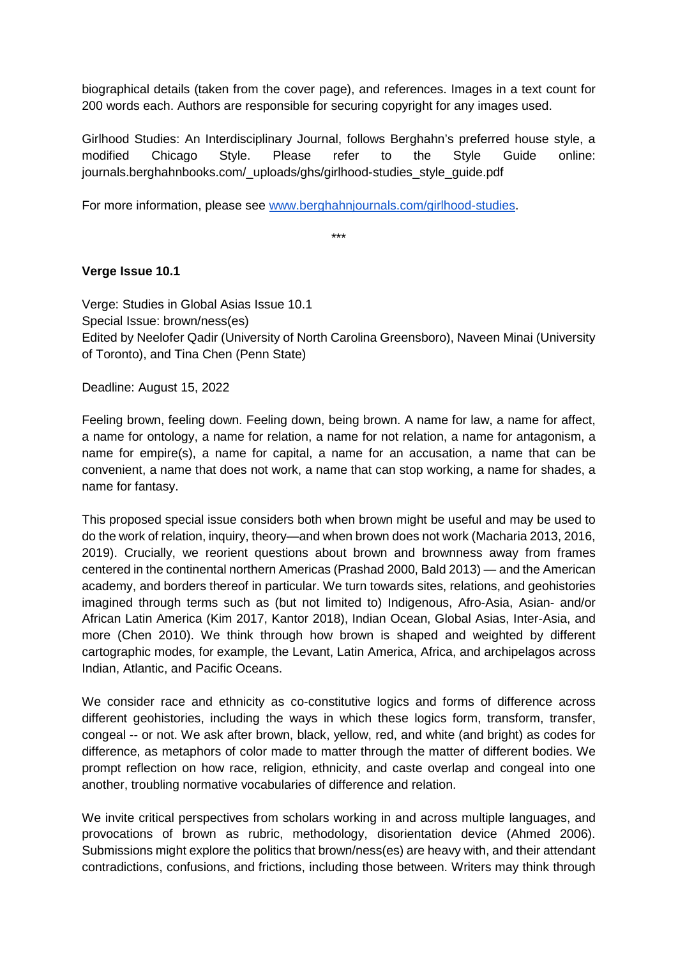biographical details (taken from the cover page), and references. Images in a text count for 200 words each. Authors are responsible for securing copyright for any images used.

Girlhood Studies: An Interdisciplinary Journal, follows Berghahn's preferred house style, a modified Chicago Style. Please refer to the Style Guide online: journals.berghahnbooks.com/\_uploads/ghs/girlhood-studies\_style\_guide.pdf

For more information, please see [www.berghahnjournals.com/girlhood-studies.](http://www.berghahnjournals.com/girlhood-studies)

\*\*\*

#### **Verge Issue 10.1**

Verge: Studies in Global Asias Issue 10.1 Special Issue: brown/ness(es) Edited by Neelofer Qadir (University of North Carolina Greensboro), Naveen Minai (University of Toronto), and Tina Chen (Penn State)

Deadline: August 15, 2022

Feeling brown, feeling down. Feeling down, being brown. A name for law, a name for affect, a name for ontology, a name for relation, a name for not relation, a name for antagonism, a name for empire(s), a name for capital, a name for an accusation, a name that can be convenient, a name that does not work, a name that can stop working, a name for shades, a name for fantasy.

This proposed special issue considers both when brown might be useful and may be used to do the work of relation, inquiry, theory—and when brown does not work (Macharia 2013, 2016, 2019). Crucially, we reorient questions about brown and brownness away from frames centered in the continental northern Americas (Prashad 2000, Bald 2013) — and the American academy, and borders thereof in particular. We turn towards sites, relations, and geohistories imagined through terms such as (but not limited to) Indigenous, Afro-Asia, Asian- and/or African Latin America (Kim 2017, Kantor 2018), Indian Ocean, Global Asias, Inter-Asia, and more (Chen 2010). We think through how brown is shaped and weighted by different cartographic modes, for example, the Levant, Latin America, Africa, and archipelagos across Indian, Atlantic, and Pacific Oceans.

We consider race and ethnicity as co-constitutive logics and forms of difference across different geohistories, including the ways in which these logics form, transform, transfer, congeal -- or not. We ask after brown, black, yellow, red, and white (and bright) as codes for difference, as metaphors of color made to matter through the matter of different bodies. We prompt reflection on how race, religion, ethnicity, and caste overlap and congeal into one another, troubling normative vocabularies of difference and relation.

We invite critical perspectives from scholars working in and across multiple languages, and provocations of brown as rubric, methodology, disorientation device (Ahmed 2006). Submissions might explore the politics that brown/ness(es) are heavy with, and their attendant contradictions, confusions, and frictions, including those between. Writers may think through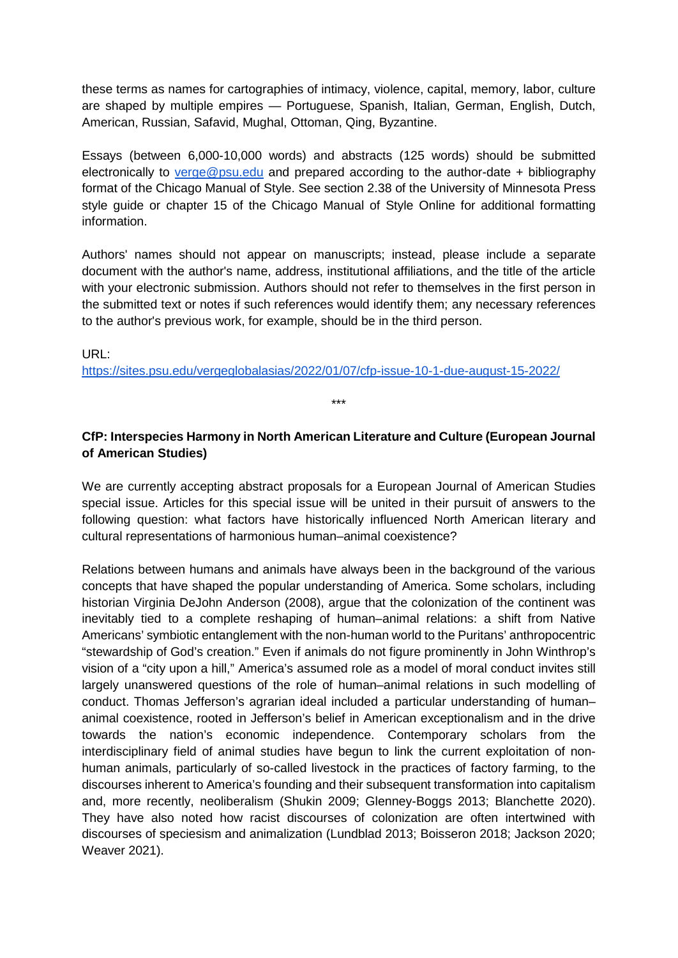these terms as names for cartographies of intimacy, violence, capital, memory, labor, culture are shaped by multiple empires — Portuguese, Spanish, Italian, German, English, Dutch, American, Russian, Safavid, Mughal, Ottoman, Qing, Byzantine.

Essays (between 6,000-10,000 words) and abstracts (125 words) should be submitted electronically to [verge@psu.edu](mailto:verge@psu.edu) and prepared according to the author-date + bibliography format of the Chicago Manual of Style. See section 2.38 of the University of Minnesota Press style guide or chapter 15 of the Chicago Manual of Style Online for additional formatting information.

Authors' names should not appear on manuscripts; instead, please include a separate document with the author's name, address, institutional affiliations, and the title of the article with your electronic submission. Authors should not refer to themselves in the first person in the submitted text or notes if such references would identify them; any necessary references to the author's previous work, for example, should be in the third person.

URL: <https://sites.psu.edu/vergeglobalasias/2022/01/07/cfp-issue-10-1-due-august-15-2022/>

# **CfP: Interspecies Harmony in North American Literature and Culture (European Journal of American Studies)**

\*\*\*

We are currently accepting abstract proposals for a European Journal of American Studies special issue. Articles for this special issue will be united in their pursuit of answers to the following question: what factors have historically influenced North American literary and cultural representations of harmonious human–animal coexistence?

Relations between humans and animals have always been in the background of the various concepts that have shaped the popular understanding of America. Some scholars, including historian Virginia DeJohn Anderson (2008), argue that the colonization of the continent was inevitably tied to a complete reshaping of human–animal relations: a shift from Native Americans' symbiotic entanglement with the non-human world to the Puritans' anthropocentric "stewardship of God's creation." Even if animals do not figure prominently in John Winthrop's vision of a "city upon a hill," America's assumed role as a model of moral conduct invites still largely unanswered questions of the role of human–animal relations in such modelling of conduct. Thomas Jefferson's agrarian ideal included a particular understanding of human– animal coexistence, rooted in Jefferson's belief in American exceptionalism and in the drive towards the nation's economic independence. Contemporary scholars from the interdisciplinary field of animal studies have begun to link the current exploitation of nonhuman animals, particularly of so-called livestock in the practices of factory farming, to the discourses inherent to America's founding and their subsequent transformation into capitalism and, more recently, neoliberalism (Shukin 2009; Glenney-Boggs 2013; Blanchette 2020). They have also noted how racist discourses of colonization are often intertwined with discourses of speciesism and animalization (Lundblad 2013; Boisseron 2018; Jackson 2020; Weaver 2021).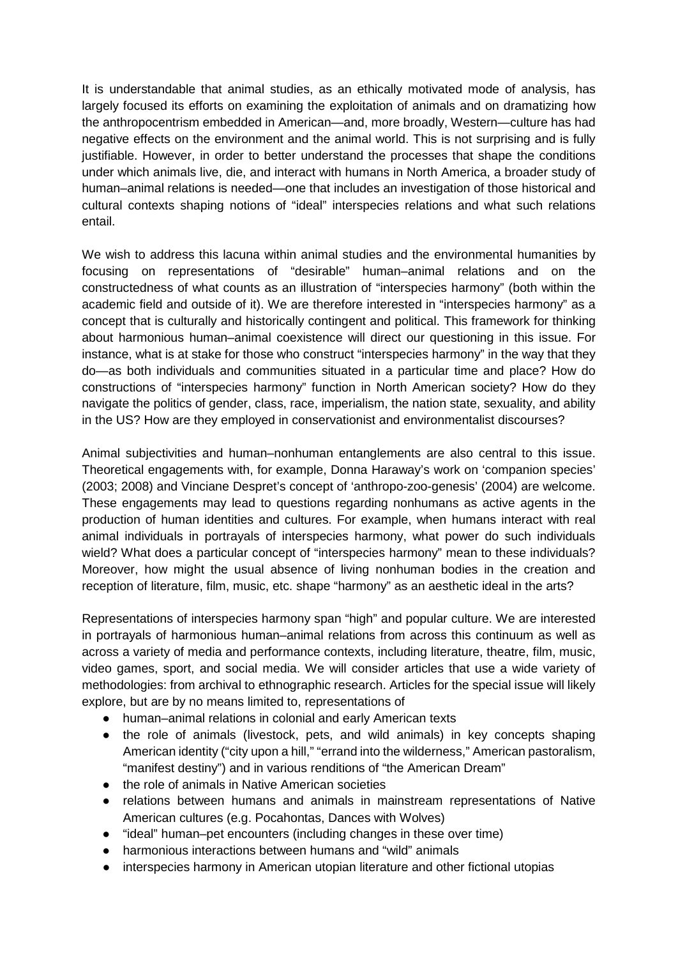It is understandable that animal studies, as an ethically motivated mode of analysis, has largely focused its efforts on examining the exploitation of animals and on dramatizing how the anthropocentrism embedded in American—and, more broadly, Western—culture has had negative effects on the environment and the animal world. This is not surprising and is fully justifiable. However, in order to better understand the processes that shape the conditions under which animals live, die, and interact with humans in North America, a broader study of human–animal relations is needed—one that includes an investigation of those historical and cultural contexts shaping notions of "ideal" interspecies relations and what such relations entail.

We wish to address this lacuna within animal studies and the environmental humanities by focusing on representations of "desirable" human–animal relations and on the constructedness of what counts as an illustration of "interspecies harmony" (both within the academic field and outside of it). We are therefore interested in "interspecies harmony" as a concept that is culturally and historically contingent and political. This framework for thinking about harmonious human–animal coexistence will direct our questioning in this issue. For instance, what is at stake for those who construct "interspecies harmony" in the way that they do—as both individuals and communities situated in a particular time and place? How do constructions of "interspecies harmony" function in North American society? How do they navigate the politics of gender, class, race, imperialism, the nation state, sexuality, and ability in the US? How are they employed in conservationist and environmentalist discourses?

Animal subjectivities and human–nonhuman entanglements are also central to this issue. Theoretical engagements with, for example, Donna Haraway's work on 'companion species' (2003; 2008) and Vinciane Despret's concept of 'anthropo-zoo-genesis' (2004) are welcome. These engagements may lead to questions regarding nonhumans as active agents in the production of human identities and cultures. For example, when humans interact with real animal individuals in portrayals of interspecies harmony, what power do such individuals wield? What does a particular concept of "interspecies harmony" mean to these individuals? Moreover, how might the usual absence of living nonhuman bodies in the creation and reception of literature, film, music, etc. shape "harmony" as an aesthetic ideal in the arts?

Representations of interspecies harmony span "high" and popular culture. We are interested in portrayals of harmonious human–animal relations from across this continuum as well as across a variety of media and performance contexts, including literature, theatre, film, music, video games, sport, and social media. We will consider articles that use a wide variety of methodologies: from archival to ethnographic research. Articles for the special issue will likely explore, but are by no means limited to, representations of

- human–animal relations in colonial and early American texts
- the role of animals (livestock, pets, and wild animals) in key concepts shaping American identity ("city upon a hill," "errand into the wilderness," American pastoralism, "manifest destiny") and in various renditions of "the American Dream"
- the role of animals in Native American societies
- relations between humans and animals in mainstream representations of Native American cultures (e.g. Pocahontas, Dances with Wolves)
- "ideal" human–pet encounters (including changes in these over time)
- harmonious interactions between humans and "wild" animals
- interspecies harmony in American utopian literature and other fictional utopias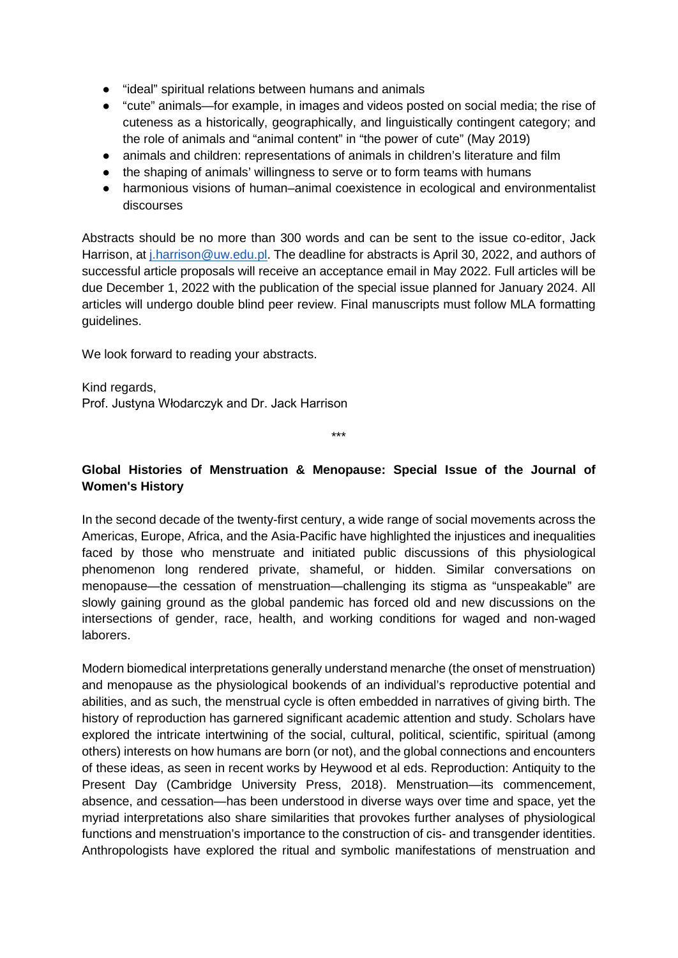- "ideal" spiritual relations between humans and animals
- "cute" animals—for example, in images and videos posted on social media; the rise of cuteness as a historically, geographically, and linguistically contingent category; and the role of animals and "animal content" in "the power of cute" (May 2019)
- animals and children: representations of animals in children's literature and film
- the shaping of animals' willingness to serve or to form teams with humans
- harmonious visions of human–animal coexistence in ecological and environmentalist discourses

Abstracts should be no more than 300 words and can be sent to the issue co-editor, Jack Harrison, at *j.harrison@uw.edu.pl.* The deadline for abstracts is April 30, 2022, and authors of successful article proposals will receive an acceptance email in May 2022. Full articles will be due December 1, 2022 with the publication of the special issue planned for January 2024. All articles will undergo double blind peer review. Final manuscripts must follow MLA formatting guidelines.

We look forward to reading your abstracts.

Kind regards, Prof. Justyna Włodarczyk and Dr. Jack Harrison

\*\*\*

## **Global Histories of Menstruation & Menopause: Special Issue of the Journal of Women's History**

In the second decade of the twenty-first century, a wide range of social movements across the Americas, Europe, Africa, and the Asia-Pacific have highlighted the injustices and inequalities faced by those who menstruate and initiated public discussions of this physiological phenomenon long rendered private, shameful, or hidden. Similar conversations on menopause—the cessation of menstruation—challenging its stigma as "unspeakable" are slowly gaining ground as the global pandemic has forced old and new discussions on the intersections of gender, race, health, and working conditions for waged and non-waged laborers.

Modern biomedical interpretations generally understand menarche (the onset of menstruation) and menopause as the physiological bookends of an individual's reproductive potential and abilities, and as such, the menstrual cycle is often embedded in narratives of giving birth. The history of reproduction has garnered significant academic attention and study. Scholars have explored the intricate intertwining of the social, cultural, political, scientific, spiritual (among others) interests on how humans are born (or not), and the global connections and encounters of these ideas, as seen in recent works by Heywood et al eds. Reproduction: Antiquity to the Present Day (Cambridge University Press, 2018). Menstruation—its commencement, absence, and cessation—has been understood in diverse ways over time and space, yet the myriad interpretations also share similarities that provokes further analyses of physiological functions and menstruation's importance to the construction of cis- and transgender identities. Anthropologists have explored the ritual and symbolic manifestations of menstruation and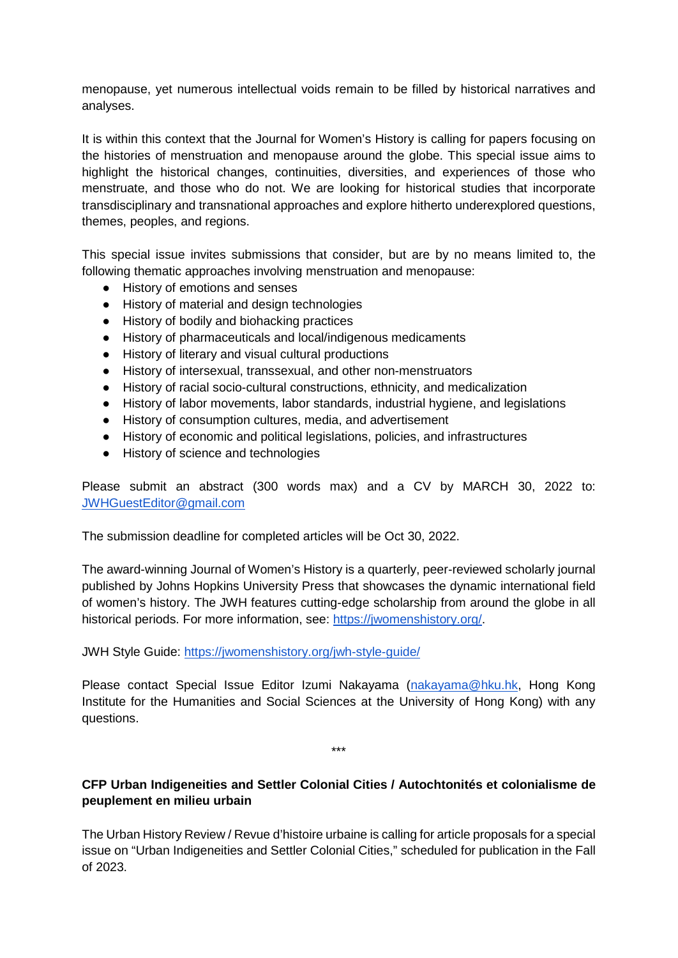menopause, yet numerous intellectual voids remain to be filled by historical narratives and analyses.

It is within this context that the Journal for Women's History is calling for papers focusing on the histories of menstruation and menopause around the globe. This special issue aims to highlight the historical changes, continuities, diversities, and experiences of those who menstruate, and those who do not. We are looking for historical studies that incorporate transdisciplinary and transnational approaches and explore hitherto underexplored questions, themes, peoples, and regions.

This special issue invites submissions that consider, but are by no means limited to, the following thematic approaches involving menstruation and menopause:

- History of emotions and senses
- History of material and design technologies
- History of bodily and biohacking practices
- History of pharmaceuticals and local/indigenous medicaments
- History of literary and visual cultural productions
- History of intersexual, transsexual, and other non-menstruators
- History of racial socio-cultural constructions, ethnicity, and medicalization
- History of labor movements, labor standards, industrial hygiene, and legislations
- History of consumption cultures, media, and advertisement
- History of economic and political legislations, policies, and infrastructures
- History of science and technologies

Please submit an abstract (300 words max) and a CV by MARCH 30, 2022 to: [JWHGuestEditor@gmail.com](mailto:JWHGuestEditor@gmail.com)

The submission deadline for completed articles will be Oct 30, 2022.

The award-winning Journal of Women's History is a quarterly, peer-reviewed scholarly journal published by Johns Hopkins University Press that showcases the dynamic international field of women's history. The JWH features cutting-edge scholarship from around the globe in all historical periods. For more information, see: [https://jwomenshistory.org/.](https://jwomenshistory.org/)

JWH Style Guide:<https://jwomenshistory.org/jwh-style-guide/>

Please contact Special Issue Editor Izumi Nakayama [\(nakayama@hku.hk,](mailto:nakayama@hku.hk) Hong Kong Institute for the Humanities and Social Sciences at the University of Hong Kong) with any questions.

\*\*\*

# **CFP Urban Indigeneities and Settler Colonial Cities / Autochtonités et colonialisme de peuplement en milieu urbain**

The Urban History Review / Revue d'histoire urbaine is calling for article proposals for a special issue on "Urban Indigeneities and Settler Colonial Cities," scheduled for publication in the Fall of 2023.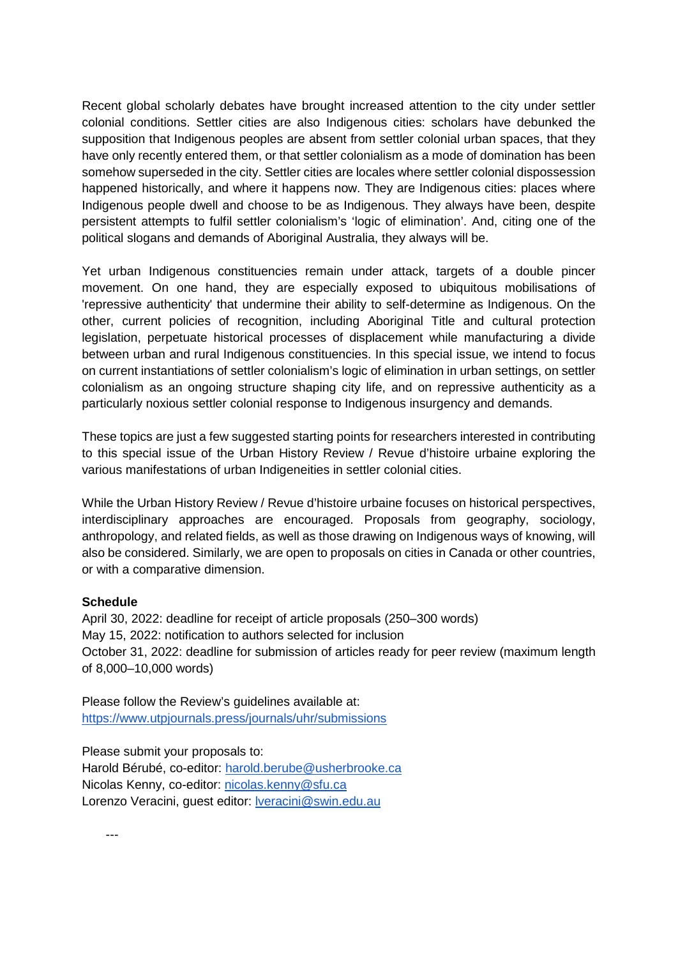Recent global scholarly debates have brought increased attention to the city under settler colonial conditions. Settler cities are also Indigenous cities: scholars have debunked the supposition that Indigenous peoples are absent from settler colonial urban spaces, that they have only recently entered them, or that settler colonialism as a mode of domination has been somehow superseded in the city. Settler cities are locales where settler colonial dispossession happened historically, and where it happens now. They are Indigenous cities: places where Indigenous people dwell and choose to be as Indigenous. They always have been, despite persistent attempts to fulfil settler colonialism's 'logic of elimination'. And, citing one of the political slogans and demands of Aboriginal Australia, they always will be.

Yet urban Indigenous constituencies remain under attack, targets of a double pincer movement. On one hand, they are especially exposed to ubiquitous mobilisations of 'repressive authenticity' that undermine their ability to self-determine as Indigenous. On the other, current policies of recognition, including Aboriginal Title and cultural protection legislation, perpetuate historical processes of displacement while manufacturing a divide between urban and rural Indigenous constituencies. In this special issue, we intend to focus on current instantiations of settler colonialism's logic of elimination in urban settings, on settler colonialism as an ongoing structure shaping city life, and on repressive authenticity as a particularly noxious settler colonial response to Indigenous insurgency and demands.

These topics are just a few suggested starting points for researchers interested in contributing to this special issue of the Urban History Review / Revue d'histoire urbaine exploring the various manifestations of urban Indigeneities in settler colonial cities.

While the Urban History Review / Revue d'histoire urbaine focuses on historical perspectives, interdisciplinary approaches are encouraged. Proposals from geography, sociology, anthropology, and related fields, as well as those drawing on Indigenous ways of knowing, will also be considered. Similarly, we are open to proposals on cities in Canada or other countries, or with a comparative dimension.

#### **Schedule**

April 30, 2022: deadline for receipt of article proposals (250–300 words) May 15, 2022: notification to authors selected for inclusion October 31, 2022: deadline for submission of articles ready for peer review (maximum length of 8,000–10,000 words)

Please follow the Review's guidelines available at: <https://www.utpjournals.press/journals/uhr/submissions>

Please submit your proposals to: Harold Bérubé, co-editor: [harold.berube@usherbrooke.ca](mailto:harold.berube@usherbrooke.ca) Nicolas Kenny, co-editor: [nicolas.kenny@sfu.ca](mailto:nicolas.kenny@sfu.ca) Lorenzo Veracini, guest editor: **veracini@swin.edu.au**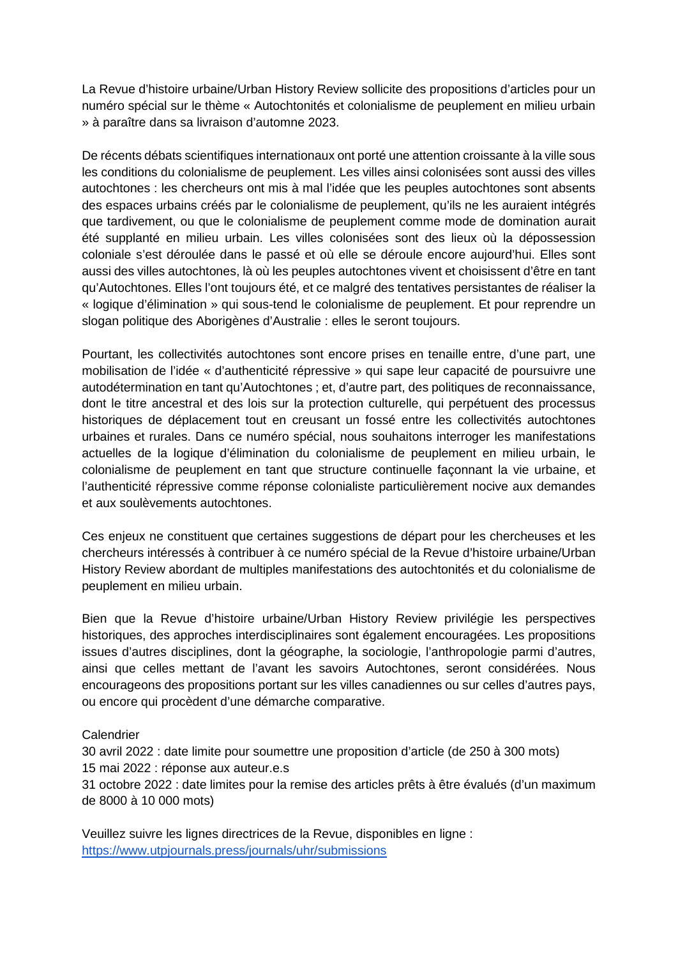La Revue d'histoire urbaine/Urban History Review sollicite des propositions d'articles pour un numéro spécial sur le thème « Autochtonités et colonialisme de peuplement en milieu urbain » à paraître dans sa livraison d'automne 2023.

De récents débats scientifiques internationaux ont porté une attention croissante à la ville sous les conditions du colonialisme de peuplement. Les villes ainsi colonisées sont aussi des villes autochtones : les chercheurs ont mis à mal l'idée que les peuples autochtones sont absents des espaces urbains créés par le colonialisme de peuplement, qu'ils ne les auraient intégrés que tardivement, ou que le colonialisme de peuplement comme mode de domination aurait été supplanté en milieu urbain. Les villes colonisées sont des lieux où la dépossession coloniale s'est déroulée dans le passé et où elle se déroule encore aujourd'hui. Elles sont aussi des villes autochtones, là où les peuples autochtones vivent et choisissent d'être en tant qu'Autochtones. Elles l'ont toujours été, et ce malgré des tentatives persistantes de réaliser la « logique d'élimination » qui sous-tend le colonialisme de peuplement. Et pour reprendre un slogan politique des Aborigènes d'Australie : elles le seront toujours.

Pourtant, les collectivités autochtones sont encore prises en tenaille entre, d'une part, une mobilisation de l'idée « d'authenticité répressive » qui sape leur capacité de poursuivre une autodétermination en tant qu'Autochtones ; et, d'autre part, des politiques de reconnaissance, dont le titre ancestral et des lois sur la protection culturelle, qui perpétuent des processus historiques de déplacement tout en creusant un fossé entre les collectivités autochtones urbaines et rurales. Dans ce numéro spécial, nous souhaitons interroger les manifestations actuelles de la logique d'élimination du colonialisme de peuplement en milieu urbain, le colonialisme de peuplement en tant que structure continuelle façonnant la vie urbaine, et l'authenticité répressive comme réponse colonialiste particulièrement nocive aux demandes et aux soulèvements autochtones.

Ces enjeux ne constituent que certaines suggestions de départ pour les chercheuses et les chercheurs intéressés à contribuer à ce numéro spécial de la Revue d'histoire urbaine/Urban History Review abordant de multiples manifestations des autochtonités et du colonialisme de peuplement en milieu urbain.

Bien que la Revue d'histoire urbaine/Urban History Review privilégie les perspectives historiques, des approches interdisciplinaires sont également encouragées. Les propositions issues d'autres disciplines, dont la géographe, la sociologie, l'anthropologie parmi d'autres, ainsi que celles mettant de l'avant les savoirs Autochtones, seront considérées. Nous encourageons des propositions portant sur les villes canadiennes ou sur celles d'autres pays, ou encore qui procèdent d'une démarche comparative.

#### **Calendrier**

30 avril 2022 : date limite pour soumettre une proposition d'article (de 250 à 300 mots) 15 mai 2022 : réponse aux auteur.e.s

31 octobre 2022 : date limites pour la remise des articles prêts à être évalués (d'un maximum de 8000 à 10 000 mots)

Veuillez suivre les lignes directrices de la Revue, disponibles en ligne : <https://www.utpjournals.press/journals/uhr/submissions>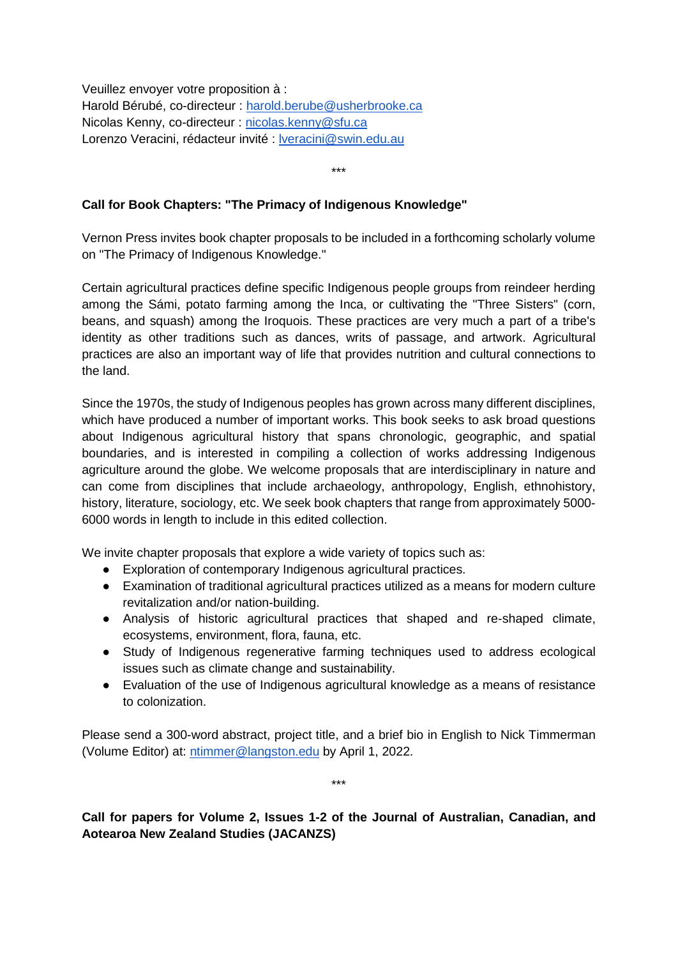Veuillez envoyer votre proposition à : Harold Bérubé, co-directeur : [harold.berube@usherbrooke.ca](mailto:harold.berube@usherbrooke.ca) Nicolas Kenny, co-directeur : [nicolas.kenny@sfu.ca](mailto:nicolas.kenny@sfu.ca) Lorenzo Veracini, rédacteur invité : [lveracini@swin.edu.au](mailto:lveracini@swin.edu.au)

\*\*\*

## **Call for Book Chapters: "The Primacy of Indigenous Knowledge"**

Vernon Press invites book chapter proposals to be included in a forthcoming scholarly volume on "The Primacy of Indigenous Knowledge."

Certain agricultural practices define specific Indigenous people groups from reindeer herding among the Sámi, potato farming among the Inca, or cultivating the "Three Sisters" (corn, beans, and squash) among the Iroquois. These practices are very much a part of a tribe's identity as other traditions such as dances, writs of passage, and artwork. Agricultural practices are also an important way of life that provides nutrition and cultural connections to the land.

Since the 1970s, the study of Indigenous peoples has grown across many different disciplines, which have produced a number of important works. This book seeks to ask broad questions about Indigenous agricultural history that spans chronologic, geographic, and spatial boundaries, and is interested in compiling a collection of works addressing Indigenous agriculture around the globe. We welcome proposals that are interdisciplinary in nature and can come from disciplines that include archaeology, anthropology, English, ethnohistory, history, literature, sociology, etc. We seek book chapters that range from approximately 5000- 6000 words in length to include in this edited collection.

We invite chapter proposals that explore a wide variety of topics such as:

- Exploration of contemporary Indigenous agricultural practices.
- Examination of traditional agricultural practices utilized as a means for modern culture revitalization and/or nation-building.
- Analysis of historic agricultural practices that shaped and re-shaped climate, ecosystems, environment, flora, fauna, etc.
- Study of Indigenous regenerative farming techniques used to address ecological issues such as climate change and sustainability.
- Evaluation of the use of Indigenous agricultural knowledge as a means of resistance to colonization.

Please send a 300-word abstract, project title, and a brief bio in English to Nick Timmerman (Volume Editor) at: [ntimmer@langston.edu](mailto:ntimmer@langston.edu) by April 1, 2022.

\*\*\*

**Call for papers for Volume 2, Issues 1-2 of the Journal of Australian, Canadian, and Aotearoa New Zealand Studies (JACANZS)**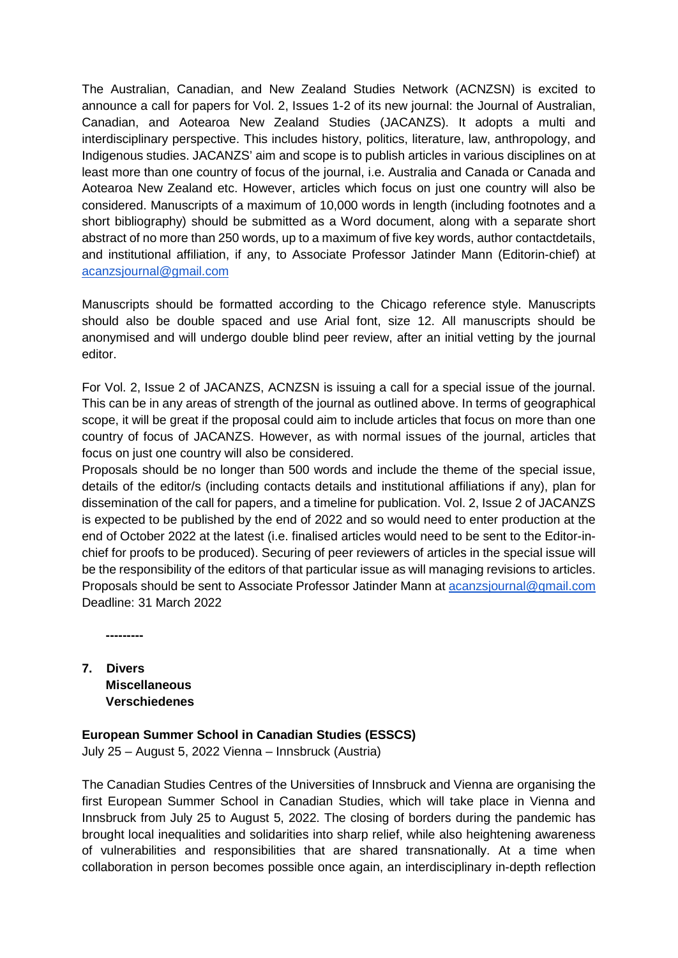The Australian, Canadian, and New Zealand Studies Network (ACNZSN) is excited to announce a call for papers for Vol. 2, Issues 1-2 of its new journal: the Journal of Australian, Canadian, and Aotearoa New Zealand Studies (JACANZS). It adopts a multi and interdisciplinary perspective. This includes history, politics, literature, law, anthropology, and Indigenous studies. JACANZS' aim and scope is to publish articles in various disciplines on at least more than one country of focus of the journal, i.e. Australia and Canada or Canada and Aotearoa New Zealand etc. However, articles which focus on just one country will also be considered. Manuscripts of a maximum of 10,000 words in length (including footnotes and a short bibliography) should be submitted as a Word document, along with a separate short abstract of no more than 250 words, up to a maximum of five key words, author contactdetails, and institutional affiliation, if any, to Associate Professor Jatinder Mann (Editorin-chief) at [acanzsjournal@gmail.com](mailto:acanzsjournal@gmail.com)

Manuscripts should be formatted according to the Chicago reference style. Manuscripts should also be double spaced and use Arial font, size 12. All manuscripts should be anonymised and will undergo double blind peer review, after an initial vetting by the journal editor.

For Vol. 2, Issue 2 of JACANZS, ACNZSN is issuing a call for a special issue of the journal. This can be in any areas of strength of the journal as outlined above. In terms of geographical scope, it will be great if the proposal could aim to include articles that focus on more than one country of focus of JACANZS. However, as with normal issues of the journal, articles that focus on just one country will also be considered.

Proposals should be no longer than 500 words and include the theme of the special issue, details of the editor/s (including contacts details and institutional affiliations if any), plan for dissemination of the call for papers, and a timeline for publication. Vol. 2, Issue 2 of JACANZS is expected to be published by the end of 2022 and so would need to enter production at the end of October 2022 at the latest (i.e. finalised articles would need to be sent to the Editor-inchief for proofs to be produced). Securing of peer reviewers of articles in the special issue will be the responsibility of the editors of that particular issue as will managing revisions to articles. Proposals should be sent to Associate Professor Jatinder Mann at [acanzsjournal@gmail.com](mailto:acanzsjournal@gmail.com) Deadline: 31 March 2022

**---------**

**7. Divers Miscellaneous Verschiedenes**

# **European Summer School in Canadian Studies (ESSCS)**

July 25 – August 5, 2022 Vienna – Innsbruck (Austria)

The Canadian Studies Centres of the Universities of Innsbruck and Vienna are organising the first European Summer School in Canadian Studies, which will take place in Vienna and Innsbruck from July 25 to August 5, 2022. The closing of borders during the pandemic has brought local inequalities and solidarities into sharp relief, while also heightening awareness of vulnerabilities and responsibilities that are shared transnationally. At a time when collaboration in person becomes possible once again, an interdisciplinary in-depth reflection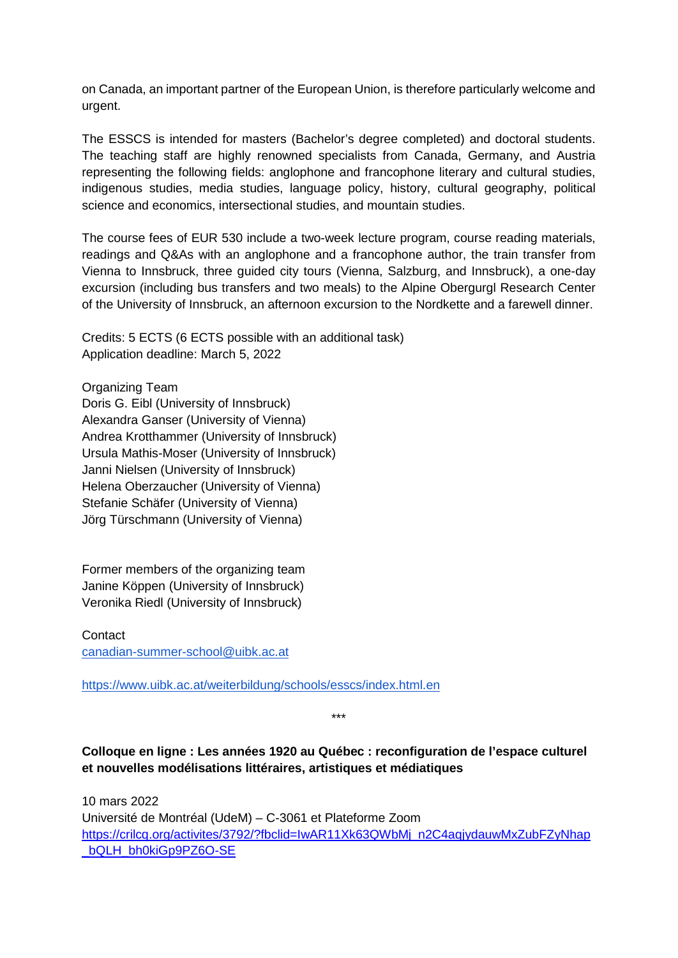on Canada, an important partner of the European Union, is therefore particularly welcome and urgent.

The ESSCS is intended for masters (Bachelor's degree completed) and doctoral students. The teaching staff are highly renowned specialists from Canada, Germany, and Austria representing the following fields: anglophone and francophone literary and cultural studies, indigenous studies, media studies, language policy, history, cultural geography, political science and economics, intersectional studies, and mountain studies.

The course fees of EUR 530 include a two-week lecture program, course reading materials, readings and Q&As with an anglophone and a francophone author, the train transfer from Vienna to Innsbruck, three guided city tours (Vienna, Salzburg, and Innsbruck), a one-day excursion (including bus transfers and two meals) to the Alpine Obergurgl Research Center of the University of Innsbruck, an afternoon excursion to the Nordkette and a farewell dinner.

Credits: 5 ECTS (6 ECTS possible with an additional task) Application deadline: March 5, 2022

Organizing Team Doris G. Eibl (University of Innsbruck) Alexandra Ganser (University of Vienna) Andrea Krotthammer (University of Innsbruck) Ursula Mathis-Moser (University of Innsbruck) Janni Nielsen (University of Innsbruck) Helena Oberzaucher (University of Vienna) Stefanie Schäfer (University of Vienna) Jörg Türschmann (University of Vienna)

Former members of the organizing team Janine Köppen (University of Innsbruck) Veronika Riedl (University of Innsbruck)

**Contact** [canadian-summer-school@uibk.ac.at](mailto:canadian-summer-school@uibk.ac.at)

<https://www.uibk.ac.at/weiterbildung/schools/esscs/index.html.en>

\*\*\*

# **Colloque en ligne : Les années 1920 au Québec : reconfiguration de l'espace culturel et nouvelles modélisations littéraires, artistiques et médiatiques**

10 mars 2022 Université de Montréal (UdeM) – C-3061 et Plateforme Zoom [https://crilcq.org/activites/3792/?fbclid=IwAR11Xk63QWbMj\\_n2C4aqjydauwMxZubFZyNhap](https://crilcq.org/activites/3792/?fbclid=IwAR11Xk63QWbMj_n2C4aqjydauwMxZubFZyNhap_bQLH_bh0kiGp9PZ6O-SE) [\\_bQLH\\_bh0kiGp9PZ6O-SE](https://crilcq.org/activites/3792/?fbclid=IwAR11Xk63QWbMj_n2C4aqjydauwMxZubFZyNhap_bQLH_bh0kiGp9PZ6O-SE)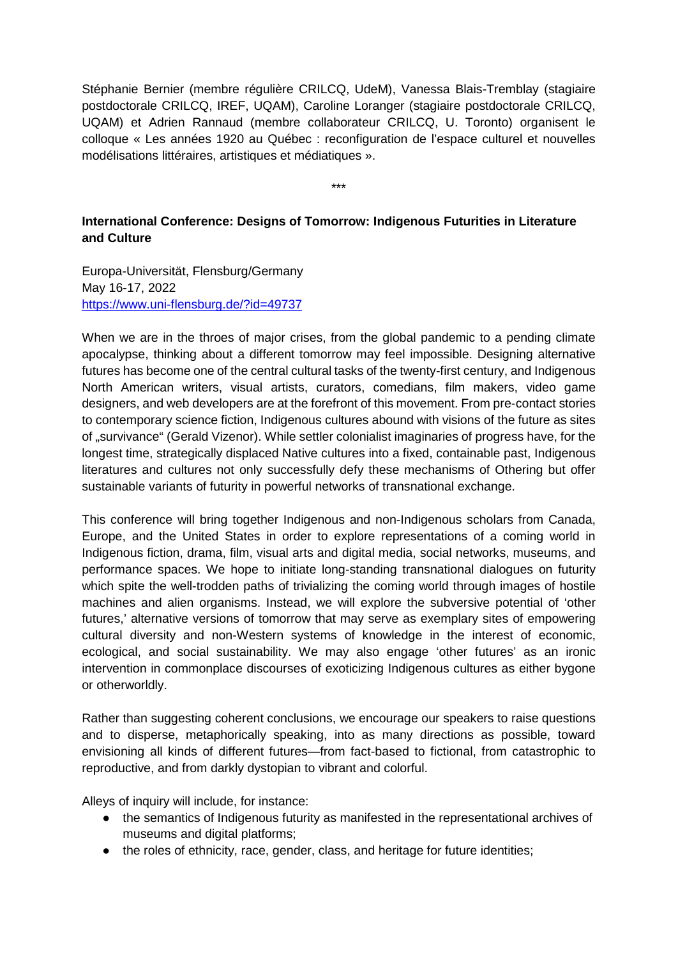Stéphanie Bernier (membre régulière CRILCQ, UdeM), Vanessa Blais-Tremblay (stagiaire postdoctorale CRILCQ, IREF, UQAM), Caroline Loranger (stagiaire postdoctorale CRILCQ, UQAM) et Adrien Rannaud (membre collaborateur CRILCQ, U. Toronto) organisent le colloque « Les années 1920 au Québec : reconfiguration de l'espace culturel et nouvelles modélisations littéraires, artistiques et médiatiques ».

\*\*\*

# **International Conference: Designs of Tomorrow: Indigenous Futurities in Literature and Culture**

Europa-Universität, Flensburg/Germany May 16-17, 2022 <https://www.uni-flensburg.de/?id=49737>

When we are in the throes of major crises, from the global pandemic to a pending climate apocalypse, thinking about a different tomorrow may feel impossible. Designing alternative futures has become one of the central cultural tasks of the twenty-first century, and Indigenous North American writers, visual artists, curators, comedians, film makers, video game designers, and web developers are at the forefront of this movement. From pre-contact stories to contemporary science fiction, Indigenous cultures abound with visions of the future as sites of "survivance" (Gerald Vizenor). While settler colonialist imaginaries of progress have, for the longest time, strategically displaced Native cultures into a fixed, containable past, Indigenous literatures and cultures not only successfully defy these mechanisms of Othering but offer sustainable variants of futurity in powerful networks of transnational exchange.

This conference will bring together Indigenous and non-Indigenous scholars from Canada, Europe, and the United States in order to explore representations of a coming world in Indigenous fiction, drama, film, visual arts and digital media, social networks, museums, and performance spaces. We hope to initiate long-standing transnational dialogues on futurity which spite the well-trodden paths of trivializing the coming world through images of hostile machines and alien organisms. Instead, we will explore the subversive potential of 'other futures,' alternative versions of tomorrow that may serve as exemplary sites of empowering cultural diversity and non-Western systems of knowledge in the interest of economic, ecological, and social sustainability. We may also engage 'other futures' as an ironic intervention in commonplace discourses of exoticizing Indigenous cultures as either bygone or otherworldly.

Rather than suggesting coherent conclusions, we encourage our speakers to raise questions and to disperse, metaphorically speaking, into as many directions as possible, toward envisioning all kinds of different futures—from fact-based to fictional, from catastrophic to reproductive, and from darkly dystopian to vibrant and colorful.

Alleys of inquiry will include, for instance:

- the semantics of Indigenous futurity as manifested in the representational archives of museums and digital platforms;
- the roles of ethnicity, race, gender, class, and heritage for future identities;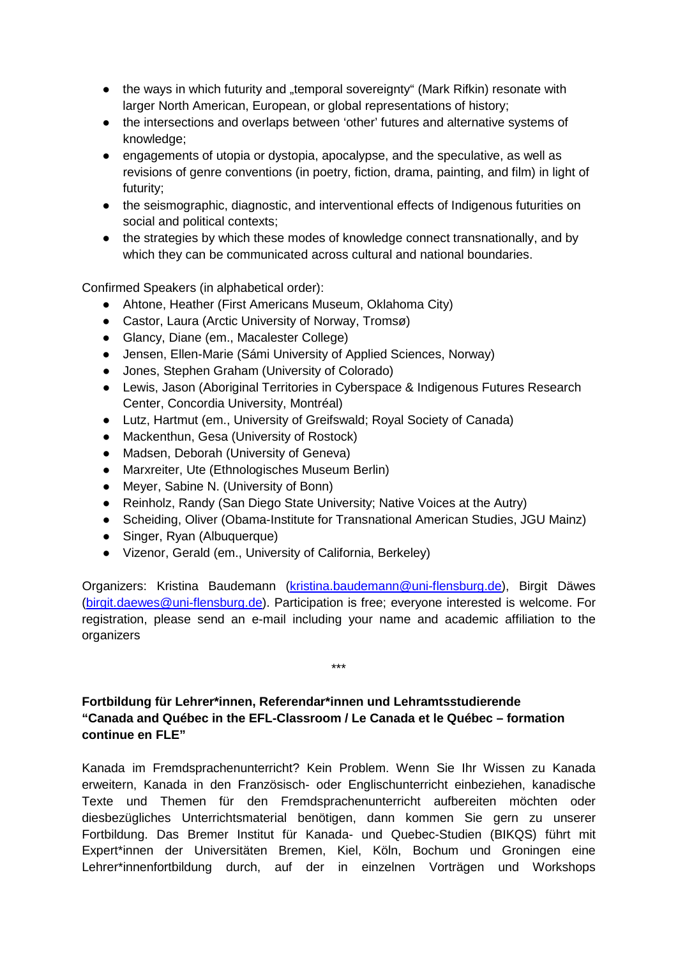- the ways in which futurity and "temporal sovereignty" (Mark Rifkin) resonate with larger North American, European, or global representations of history;
- the intersections and overlaps between 'other' futures and alternative systems of knowledge;
- engagements of utopia or dystopia, apocalypse, and the speculative, as well as revisions of genre conventions (in poetry, fiction, drama, painting, and film) in light of futurity;
- the seismographic, diagnostic, and interventional effects of Indigenous futurities on social and political contexts;
- the strategies by which these modes of knowledge connect transnationally, and by which they can be communicated across cultural and national boundaries.

Confirmed Speakers (in alphabetical order):

- Ahtone, Heather (First Americans Museum, Oklahoma City)
- Castor, Laura (Arctic University of Norway, Tromsø)
- Glancy, Diane (em., Macalester College)
- Jensen, Ellen-Marie (Sámi University of Applied Sciences, Norway)
- Jones, Stephen Graham (University of Colorado)
- Lewis, Jason (Aboriginal Territories in Cyberspace & Indigenous Futures Research Center, Concordia University, Montréal)
- Lutz, Hartmut (em., University of Greifswald; Royal Society of Canada)
- Mackenthun, Gesa (University of Rostock)
- Madsen, Deborah (University of Geneva)
- Marxreiter, Ute (Ethnologisches Museum Berlin)
- Meyer, Sabine N. (University of Bonn)
- Reinholz, Randy (San Diego State University; Native Voices at the Autry)
- Scheiding, Oliver (Obama-Institute for Transnational American Studies, JGU Mainz)
- Singer, Ryan (Albuquerque)
- Vizenor, Gerald (em., University of California, Berkeley)

Organizers: Kristina Baudemann [\(kristina.baudemann@uni-flensburg.de\)](mailto:kristina.baudemann@uni-flensburg.de), Birgit Däwes [\(birgit.daewes@uni-flensburg.de\)](mailto:birgit.daewes@uni-flensburg.de). Participation is free; everyone interested is welcome. For registration, please send an e-mail including your name and academic affiliation to the organizers

\*\*\*

# **Fortbildung für Lehrer\*innen, Referendar\*innen und Lehramtsstudierende "Canada and Québec in the EFL-Classroom / Le Canada et le Québec – formation continue en FLE"**

Kanada im Fremdsprachenunterricht? Kein Problem. Wenn Sie Ihr Wissen zu Kanada erweitern, Kanada in den Französisch- oder Englischunterricht einbeziehen, kanadische Texte und Themen für den Fremdsprachenunterricht aufbereiten möchten oder diesbezügliches Unterrichtsmaterial benötigen, dann kommen Sie gern zu unserer Fortbildung. Das Bremer Institut für Kanada- und Quebec-Studien (BIKQS) führt mit Expert\*innen der Universitäten Bremen, Kiel, Köln, Bochum und Groningen eine Lehrer\*innenfortbildung durch, auf der in einzelnen Vorträgen und Workshops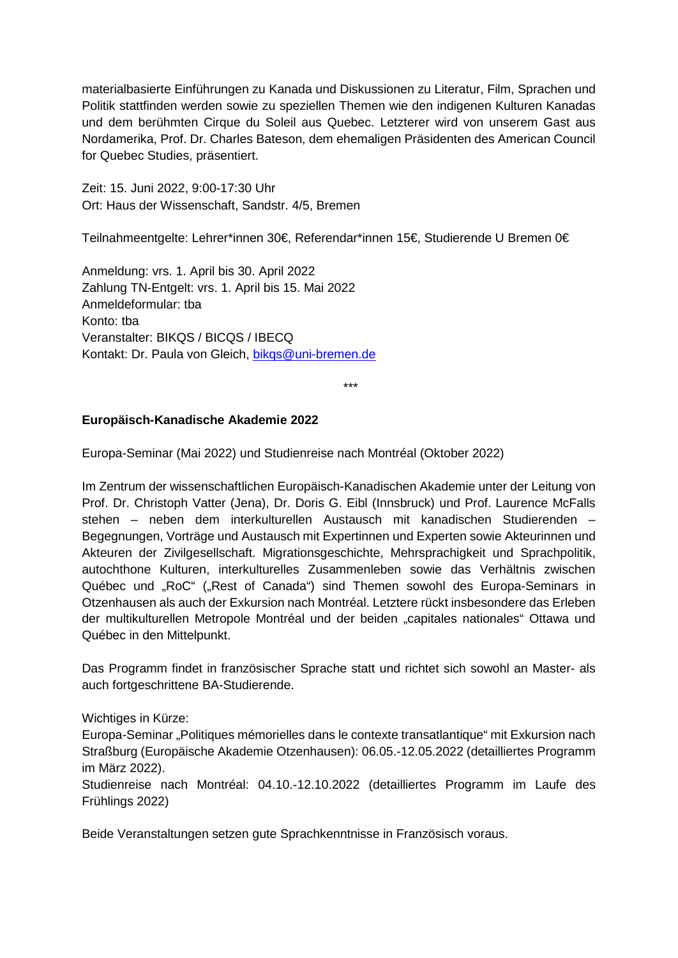materialbasierte Einführungen zu Kanada und Diskussionen zu Literatur, Film, Sprachen und Politik stattfinden werden sowie zu speziellen Themen wie den indigenen Kulturen Kanadas und dem berühmten Cirque du Soleil aus Quebec. Letzterer wird von unserem Gast aus Nordamerika, Prof. Dr. Charles Bateson, dem ehemaligen Präsidenten des American Council for Quebec Studies, präsentiert.

Zeit: 15. Juni 2022, 9:00-17:30 Uhr Ort: Haus der Wissenschaft, Sandstr. 4/5, Bremen

Teilnahmeentgelte: Lehrer\*innen 30€, Referendar\*innen 15€, Studierende U Bremen 0€

Anmeldung: vrs. 1. April bis 30. April 2022 Zahlung TN-Entgelt: vrs. 1. April bis 15. Mai 2022 Anmeldeformular: tba Konto: tba Veranstalter: BIKQS / BICQS / IBECQ Kontakt: Dr. Paula von Gleich, [bikqs@uni-bremen.de](mailto:bikqs@uni-bremen.de)

\*\*\*

## **Europäisch-Kanadische Akademie 2022**

Europa-Seminar (Mai 2022) und Studienreise nach Montréal (Oktober 2022)

Im Zentrum der wissenschaftlichen Europäisch-Kanadischen Akademie unter der Leitung von Prof. Dr. Christoph Vatter (Jena), Dr. Doris G. Eibl (Innsbruck) und Prof. Laurence McFalls stehen – neben dem interkulturellen Austausch mit kanadischen Studierenden – Begegnungen, Vorträge und Austausch mit Expertinnen und Experten sowie Akteurinnen und Akteuren der Zivilgesellschaft. Migrationsgeschichte, Mehrsprachigkeit und Sprachpolitik, autochthone Kulturen, interkulturelles Zusammenleben sowie das Verhältnis zwischen Québec und "RoC" ("Rest of Canada") sind Themen sowohl des Europa-Seminars in Otzenhausen als auch der Exkursion nach Montréal. Letztere rückt insbesondere das Erleben der multikulturellen Metropole Montréal und der beiden "capitales nationales" Ottawa und Québec in den Mittelpunkt.

Das Programm findet in französischer Sprache statt und richtet sich sowohl an Master- als auch fortgeschrittene BA-Studierende.

#### Wichtiges in Kürze:

Europa-Seminar "Politiques mémorielles dans le contexte transatlantique" mit Exkursion nach Straßburg (Europäische Akademie Otzenhausen): 06.05.-12.05.2022 (detailliertes Programm im März 2022).

Studienreise nach Montréal: 04.10.-12.10.2022 (detailliertes Programm im Laufe des Frühlings 2022)

Beide Veranstaltungen setzen gute Sprachkenntnisse in Französisch voraus.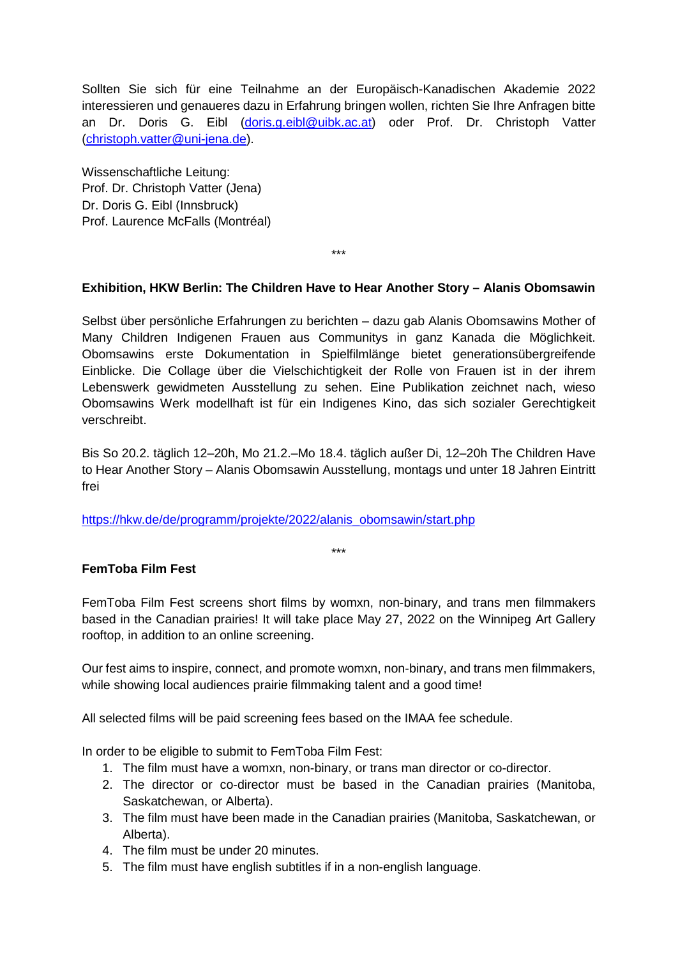Sollten Sie sich für eine Teilnahme an der Europäisch-Kanadischen Akademie 2022 interessieren und genaueres dazu in Erfahrung bringen wollen, richten Sie Ihre Anfragen bitte an Dr. Doris G. Eibl [\(doris.g.eibl@uibk.ac.at\)](mailto:doris.g.eibl@uibk.ac.at) oder Prof. Dr. Christoph Vatter [\(christoph.vatter@uni-jena.de\)](mailto:christoph.vatter@uni-jena.de).

Wissenschaftliche Leitung: Prof. Dr. Christoph Vatter (Jena) Dr. Doris G. Eibl (Innsbruck) Prof. Laurence McFalls (Montréal)

# **Exhibition, HKW Berlin: The Children Have to Hear Another Story – Alanis Obomsawin**

\*\*\*

Selbst über persönliche Erfahrungen zu berichten – dazu gab Alanis Obomsawins Mother of Many Children Indigenen Frauen aus Communitys in ganz Kanada die Möglichkeit. Obomsawins erste Dokumentation in Spielfilmlänge bietet generationsübergreifende Einblicke. Die Collage über die Vielschichtigkeit der Rolle von Frauen ist in der ihrem Lebenswerk gewidmeten Ausstellung zu sehen. Eine Publikation zeichnet nach, wieso Obomsawins Werk modellhaft ist für ein Indigenes Kino, das sich sozialer Gerechtigkeit verschreibt.

Bis So 20.2. täglich 12–20h, Mo 21.2.–Mo 18.4. täglich außer Di, 12–20h The Children Have to Hear Another Story – Alanis Obomsawin Ausstellung, montags und unter 18 Jahren Eintritt frei

[https://hkw.de/de/programm/projekte/2022/alanis\\_obomsawin/start.php](https://hkw.de/de/programm/projekte/2022/alanis_obomsawin/start.php)

\*\*\*

#### **FemToba Film Fest**

FemToba Film Fest screens short films by womxn, non-binary, and trans men filmmakers based in the Canadian prairies! It will take place May 27, 2022 on the Winnipeg Art Gallery rooftop, in addition to an online screening.

Our fest aims to inspire, connect, and promote womxn, non-binary, and trans men filmmakers, while showing local audiences prairie filmmaking talent and a good time!

All selected films will be paid screening fees based on the IMAA fee schedule.

In order to be eligible to submit to FemToba Film Fest:

- 1. The film must have a womxn, non-binary, or trans man director or co-director.
- 2. The director or co-director must be based in the Canadian prairies (Manitoba, Saskatchewan, or Alberta).
- 3. The film must have been made in the Canadian prairies (Manitoba, Saskatchewan, or Alberta).
- 4. The film must be under 20 minutes.
- 5. The film must have english subtitles if in a non-english language.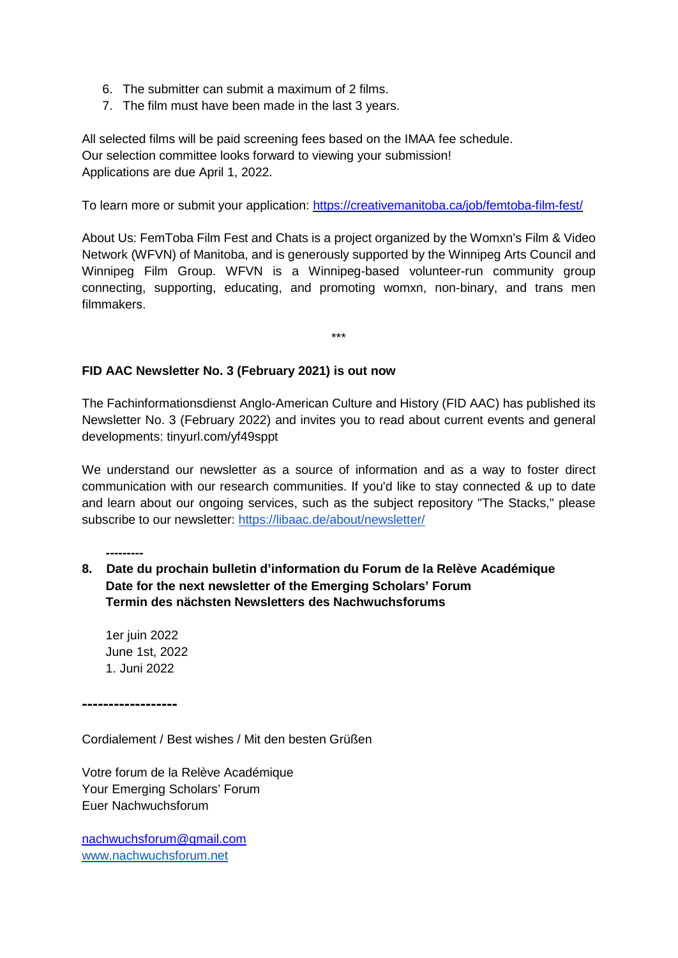- 6. The submitter can submit a maximum of 2 films.
- 7. The film must have been made in the last 3 years.

All selected films will be paid screening fees based on the IMAA fee schedule. Our selection committee looks forward to viewing your submission! Applications are due April 1, 2022.

To learn more or submit your application:<https://creativemanitoba.ca/job/femtoba-film-fest/>

About Us: FemToba Film Fest and Chats is a project organized by the Womxn's Film & Video Network (WFVN) of Manitoba, and is generously supported by the Winnipeg Arts Council and Winnipeg Film Group. WFVN is a Winnipeg-based volunteer-run community group connecting, supporting, educating, and promoting womxn, non-binary, and trans men filmmakers.

\*\*\*

## **FID AAC Newsletter No. 3 (February 2021) is out now**

The Fachinformationsdienst Anglo-American Culture and History (FID AAC) has published its Newsletter No. 3 (February 2022) and invites you to read about current events and general developments: tinyurl.com/yf49sppt

We understand our newsletter as a source of information and as a way to foster direct communication with our research communities. If you'd like to stay connected & up to date and learn about our ongoing services, such as the subject repository "The Stacks," please subscribe to our newsletter:<https://libaac.de/about/newsletter/>

- **8. Date du prochain bulletin d'information du Forum de la Relève Académique Date for the next newsletter of the Emerging Scholars' Forum Termin des nächsten Newsletters des Nachwuchsforums**
	- 1er juin 2022 June 1st, 2022 1. Juni 2022

**------------------**

**---------**

Cordialement / Best wishes / Mit den besten Grüßen

Votre forum de la Relève Académique Your Emerging Scholars' Forum Euer Nachwuchsforum

[nachwuchsforum@gmail.com](mailto:nachwuchsforum@gmail.com) [www.nachwuchsforum.net](http://www.nachwuchsforum.net/)